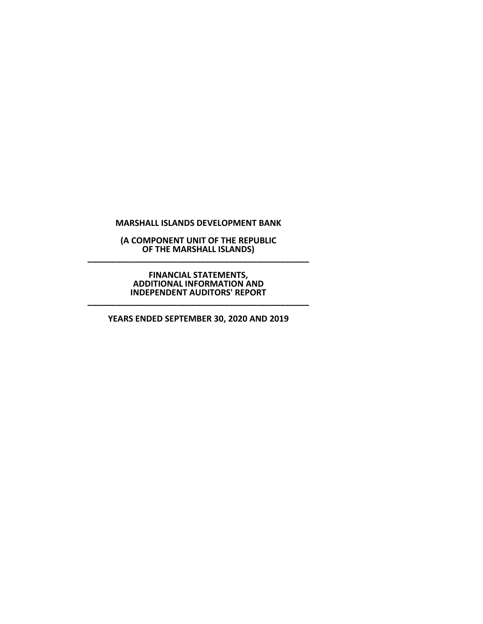#### **MARSHALL ISLANDS DEVELOPMENT BANK**

**(A COMPONENT UNIT OF THE REPUBLIC OF THE MARSHALL ISLANDS) \_\_\_\_\_\_\_\_\_\_\_\_\_\_\_\_\_\_\_\_\_\_\_\_\_\_\_\_\_\_\_\_\_\_\_\_\_\_\_\_\_\_\_\_\_\_\_**

**FINANCIAL STATEMENTS, ADDITIONAL INFORMATION AND INDEPENDENT AUDITORS' REPORT \_\_\_\_\_\_\_\_\_\_\_\_\_\_\_\_\_\_\_\_\_\_\_\_\_\_\_\_\_\_\_\_\_\_\_\_\_\_\_\_\_\_\_\_\_\_\_**

**YEARS ENDED SEPTEMBER 30, 2020 AND 2019**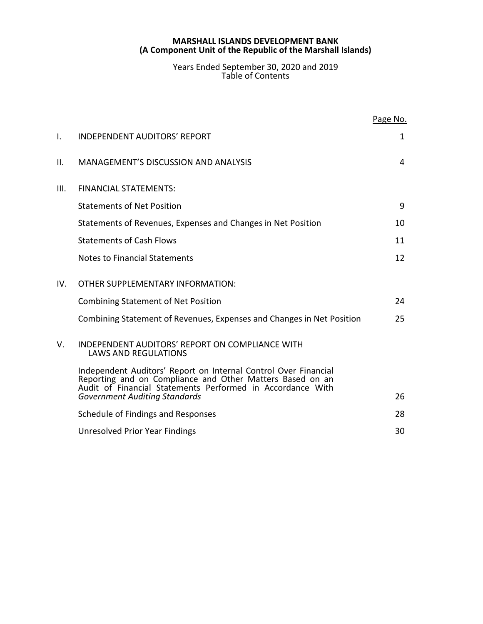Years Ended September 30, 2020 and 2019 Table of Contents

|     |                                                                                                                                                                                            | Page No. |
|-----|--------------------------------------------------------------------------------------------------------------------------------------------------------------------------------------------|----------|
| I.  | <b>INDEPENDENT AUDITORS' REPORT</b>                                                                                                                                                        | 1        |
| ΙΙ. | <b>MANAGEMENT'S DISCUSSION AND ANALYSIS</b>                                                                                                                                                | 4        |
| Ш.  | <b>FINANCIAL STATEMENTS:</b>                                                                                                                                                               |          |
|     | <b>Statements of Net Position</b>                                                                                                                                                          | 9        |
|     | Statements of Revenues, Expenses and Changes in Net Position                                                                                                                               | 10       |
|     | <b>Statements of Cash Flows</b>                                                                                                                                                            | 11       |
|     | <b>Notes to Financial Statements</b>                                                                                                                                                       | 12       |
| IV. | OTHER SUPPLEMENTARY INFORMATION:                                                                                                                                                           |          |
|     | <b>Combining Statement of Net Position</b>                                                                                                                                                 | 24       |
|     | Combining Statement of Revenues, Expenses and Changes in Net Position                                                                                                                      | 25       |
| V.  | INDEPENDENT AUDITORS' REPORT ON COMPLIANCE WITH<br><b>LAWS AND REGULATIONS</b>                                                                                                             |          |
|     | Independent Auditors' Report on Internal Control Over Financial<br>Reporting and on Compliance and Other Matters Based on an<br>Audit of Financial Statements Performed in Accordance With |          |
|     | <b>Government Auditing Standards</b>                                                                                                                                                       | 26       |
|     | Schedule of Findings and Responses                                                                                                                                                         | 28       |
|     | <b>Unresolved Prior Year Findings</b>                                                                                                                                                      | 30       |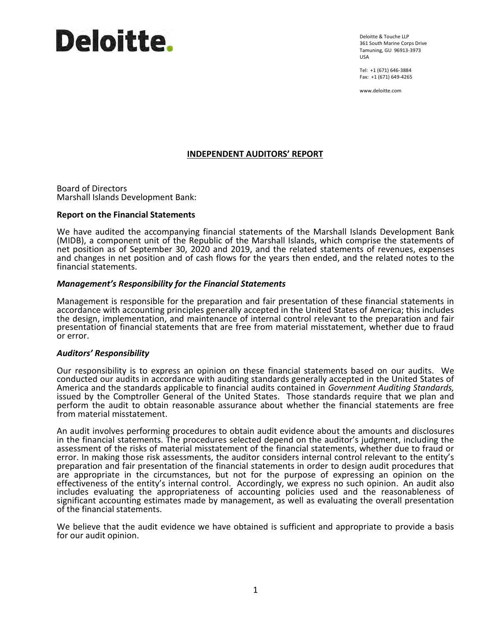Deloitte & Touche LLP 361 South Marine Corps Drive Tamuning, GU 96913-3973 USA

Tel: +1 (671) 646-3884 Fax: +1 (671) 649-4265

www.deloitte.com

# **INDEPENDENT AUDITORS' REPORT**

Board of Directors Marshall Islands Development Bank:

# **Report on the Financial Statements**

We have audited the accompanying financial statements of the Marshall Islands Development Bank (MIDB), a component unit of the Republic of the Marshall Islands, which comprise the statements of net position as of September 30, 2020 and 2019, and the related statements of revenues, expenses and changes in net position and of cash flows for the years then ended, and the related notes to the financial statements.

# *Management's Responsibility for the Financial Statements*

Management is responsible for the preparation and fair presentation of these financial statements in accordance with accounting principles generally accepted in the United States of America; this includes the design, implementation, and maintenance of internal control relevant to the preparation and fair presentation of financial statements that are free from material misstatement, whether due to fraud or error.

# *Auditors' Responsibility*

Our responsibility is to express an opinion on these financial statements based on our audits. We conducted our audits in accordance with auditing standards generally accepted in the United States of America and the standards applicable to financial audits contained in *Government Auditing Standards,* issued by the Comptroller General of the United States. Those standards require that we plan and perform the audit to obtain reasonable assurance about whether the financial statements are free from material misstatement.

An audit involves performing procedures to obtain audit evidence about the amounts and disclosures in the financial statements. The procedures selected depend on the auditor's judgment, including the assessment of the risks of material misstatement of the financial statements, whether due to fraud or error. In making those risk assessments, the auditor considers internal control relevant to the entity's preparation and fair presentation of the financial statements in order to design audit procedures that are appropriate in the circumstances, but not for the purpose of expressing an opinion on the effectiveness of the entity's internal control. Accordingly, we express no such opinion. An audit also includes evaluating the appropriateness of accounting policies used and the reasonableness of significant accounting estimates made by management, as well as evaluating the overall presentation of the financial statements.

We believe that the audit evidence we have obtained is sufficient and appropriate to provide a basis for our audit opinion.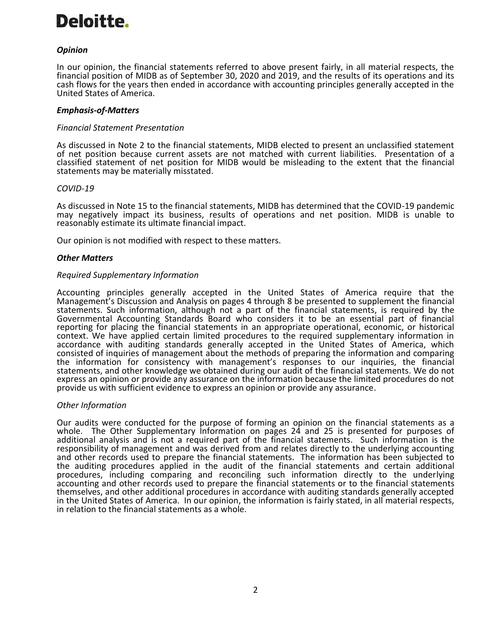# *Opinion*

In our opinion, the financial statements referred to above present fairly, in all material respects, the financial position of MIDB as of September 30, 2020 and 2019, and the results of its operations and its cash flows for the years then ended in accordance with accounting principles generally accepted in the United States of America.

# *Emphasis-of-Matters*

# *Financial Statement Presentation*

As discussed in Note 2 to the financial statements, MIDB elected to present an unclassified statement of net position because current assets are not matched with current liabilities. Presentation of a classified statement of net position for MIDB would be misleading to the extent that the financial statements may be materially misstated.

# *COVID-19*

As discussed in Note 15 to the financial statements, MIDB has determined that the COVID-19 pandemic may negatively impact its business, results of operations and net position. MIDB is unable to reasonably estimate its ultimate financial impact.

Our opinion is not modified with respect to these matters.

# *Other Matters*

# *Required Supplementary Information*

Accounting principles generally accepted in the United States of America require that the Management's Discussion and Analysis on pages 4 through 8 be presented to supplement the financial statements. Such information, although not a part of the financial statements, is required by the Governmental Accounting Standards Board who considers it to be an essential part of financial reporting for placing the financial statements in an appropriate operational, economic, or historical context. We have applied certain limited procedures to the required supplementary information in accordance with auditing standards generally accepted in the United States of America, which consisted of inquiries of management about the methods of preparing the information and comparing the information for consistency with management's responses to our inquiries, the financial statements, and other knowledge we obtained during our audit of the financial statements. We do not express an opinion or provide any assurance on the information because the limited procedures do not provide us with sufficient evidence to express an opinion or provide any assurance.

# *Other Information*

Our audits were conducted for the purpose of forming an opinion on the financial statements as a whole. The Other Supplementary Information on pages 24 and 25 is presented for purposes of additional analysis and is not a required part of the financial statements. Such information is the responsibility of management and was derived from and relates directly to the underlying accounting and other records used to prepare the financial statements. The information has been subjected to the auditing procedures applied in the audit of the financial statements and certain additional procedures, including comparing and reconciling such information directly to the underlying accounting and other records used to prepare the financial statements or to the financial statements themselves, and other additional procedures in accordance with auditing standards generally accepted in the United States of America. In our opinion, the information is fairly stated, in all material respects, in relation to the financial statements as a whole.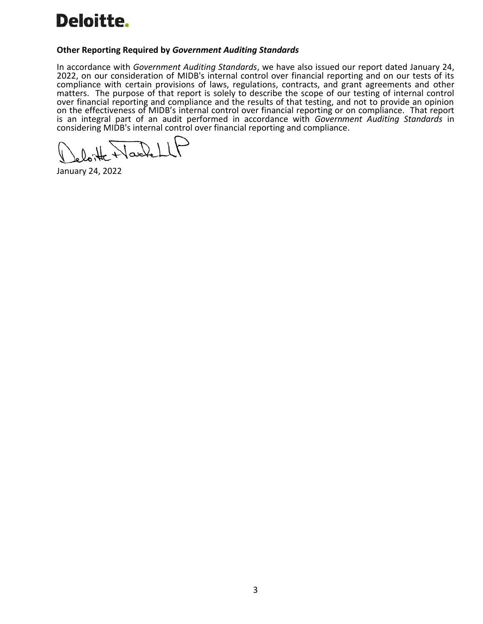# **Other Reporting Required by** *Government Auditing Standards*

In accordance with *Government Auditing Standards*, we have also issued our report dated January 24, 2022, on our consideration of MIDB's internal control over financial reporting and on our tests of its compliance with certain provisions of laws, regulations, contracts, and grant agreements and other matters. The purpose of that report is solely to describe the scope of our testing of internal control over financial reporting and compliance and the results of that testing, and not to provide an opinion on the effectiveness of MIDB's internal control over financial reporting or on compliance. That report is an integral part of an audit performed in accordance with *Government Auditing Standards* in considering MIDB's internal control over financial reporting and compliance.

January 24, 2022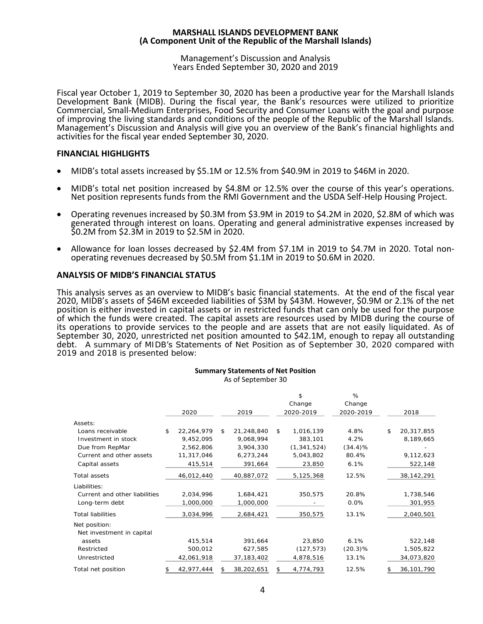Management's Discussion and Analysis Years Ended September 30, 2020 and 2019

Fiscal year October 1, 2019 to September 30, 2020 has been a productive year for the Marshall Islands Development Bank (MIDB). During the fiscal year, the Bank's resources were utilized to prioritize Commercial, Small-Medium Enterprises, Food Security and Consumer Loans with the goal and purpose of improving the living standards and conditions of the people of the Republic of the Marshall Islands. Management's Discussion and Analysis will give you an overview of the Bank's financial highlights and activities for the fiscal year ended September 30, 2020.

# **FINANCIAL HIGHLIGHTS**

- MIDB's total assets increased by \$5.1M or 12.5% from \$40.9M in 2019 to \$46M in 2020.
- MIDB's total net position increased by \$4.8M or 12.5% over the course of this year's operations. Net position represents funds from the RMI Government and the USDA Self-Help Housing Project.
- Operating revenues increased by \$0.3M from \$3.9M in 2019 to \$4.2M in 2020, \$2.8M of which was generated through interest on loans. Operating and general administrative expenses increased by \$0.2M from \$2.3M in 2019 to \$2.5M in 2020.
- Allowance for loan losses decreased by \$2.4M from \$7.1M in 2019 to \$4.7M in 2020. Total nonoperating revenues decreased by \$0.5M from \$1.1M in 2019 to \$0.6M in 2020.

# **ANALYSIS OF MIDB'S FINANCIAL STATUS**

This analysis serves as an overview to MIDB's basic financial statements. At the end of the fiscal year 2020, MIDB's assets of \$46M exceeded liabilities of \$3M by \$43M. However, \$0.9M or 2.1% of the net position is either invested in capital assets or in restricted funds that can only be used for the purpose of which the funds were created. The capital assets are resources used by MIDB during the course of its operations to provide services to the people and are assets that are not easily liquidated. As of September 30, 2020, unrestricted net position amounted to \$42.1M, enough to repay all outstanding debt. A summary of MIDB's Statements of Net Position as of September 30, 2020 compared with 2019 and 2018 is presented below:

#### **Summary Statements of Net Position** As of September 30

|                                            |               | 2020         | 2019             |               | $\mathcal{L}$<br>Change<br>2020-2019 | %<br>Change<br>2020-2019 | 2018               |
|--------------------------------------------|---------------|--------------|------------------|---------------|--------------------------------------|--------------------------|--------------------|
| Assets:                                    |               |              |                  |               |                                      |                          |                    |
| Loans receivable                           | $\mathcal{L}$ | 22, 264, 979 | \$<br>21,248,840 | $\mathcal{L}$ | 1,016,139                            | 4.8%                     | \$<br>20, 317, 855 |
| Investment in stock                        |               | 9,452,095    | 9,068,994        |               | 383,101                              | 4.2%                     | 8,189,665          |
| Due from RepMar                            |               | 2,562,806    | 3,904,330        |               | (1, 341, 524)                        | $(34.4)\%$               |                    |
| Current and other assets                   |               | 11,317,046   | 6,273,244        |               | 5,043,802                            | 80.4%                    | 9,112,623          |
| Capital assets                             |               | 415,514      | 391,664          |               | 23,850                               | 6.1%                     | 522,148            |
| Total assets                               |               | 46,012,440   | 40,887,072       |               | 5,125,368                            | 12.5%                    | 38, 142, 291       |
| Liabilities:                               |               |              |                  |               |                                      |                          |                    |
| Current and other liabilities              |               | 2,034,996    | 1,684,421        |               | 350,575                              | 20.8%                    | 1,738,546          |
| Long-term debt                             |               | 1,000,000    | 1,000,000        |               |                                      | 0.0%                     | 301,955            |
| <b>Total liabilities</b>                   |               | 3,034,996    | 2,684,421        |               | 350,575                              | 13.1%                    | 2,040,501          |
| Net position:<br>Net investment in capital |               |              |                  |               |                                      |                          |                    |
| assets                                     |               | 415,514      | 391,664          |               | 23,850                               | 6.1%                     | 522,148            |
| Restricted                                 |               | 500,012      | 627,585          |               | (127, 573)                           | $(20.3)\%$               | 1,505,822          |
| Unrestricted                               |               | 42,061,918   | 37, 183, 402     |               | 4,878,516                            | 13.1%                    | 34,073,820         |
| Total net position                         |               | 42,977,444   | 38,202,651       | \$            | 4,774,793                            | 12.5%                    | 36, 101, 790       |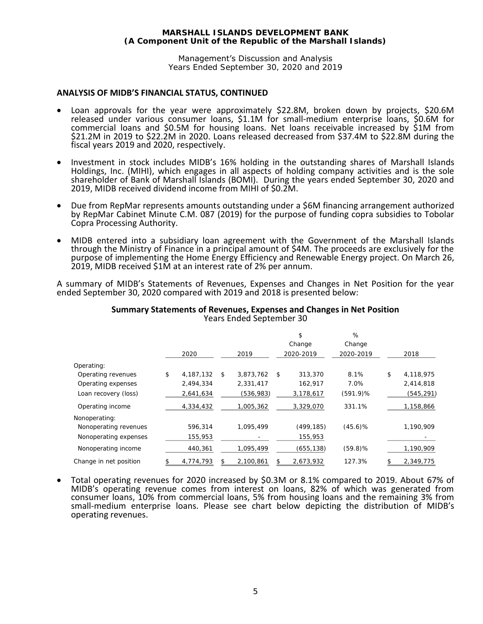#### Management's Discussion and Analysis

Years Ended September 30, 2020 and 2019

# **ANALYSIS OF MIDB'S FINANCIAL STATUS, CONTINUED**

- Loan approvals for the year were approximately \$22.8M, broken down by projects, \$20.6M released under various consumer loans, \$1.1M for small-medium enterprise loans, \$0.6M for commercial loans and \$0.5M for housing loans. Net loans receivable increased by \$1M from \$21.2M in 2019 to \$22.2M in 2020. Loans released decreased from \$37.4M to \$22.8M during the fiscal years 2019 and 2020, respectively.
- Investment in stock includes MIDB's 16% holding in the outstanding shares of Marshall Islands Holdings, Inc. (MIHI), which engages in all aspects of holding company activities and is the sole shareholder of Bank of Marshall Islands (BOMI). During the years ended September 30, 2020 and 2019, MIDB received dividend income from MIHI of \$0.2M.
- Due from RepMar represents amounts outstanding under a \$6M financing arrangement authorized by RepMar Cabinet Minute C.M. 087 (2019) for the purpose of funding copra subsidies to Tobolar Copra Processing Authority.
- MIDB entered into a subsidiary loan agreement with the Government of the Marshall Islands through the Ministry of Finance in a principal amount of \$4M. The proceeds are exclusively for the purpose of implementing the Home Energy Efficiency and Renewable Energy project. On March 26, 2019, MIDB received \$1M at an interest rate of 2% per annum.

A summary of MIDB's Statements of Revenues, Expenses and Changes in Net Position for the year ended September 30, 2020 compared with 2019 and 2018 is presented below:

|                        |                   |                 | $\mathcal{S}$   | %           |                 |
|------------------------|-------------------|-----------------|-----------------|-------------|-----------------|
|                        |                   |                 | Change          | Change      |                 |
|                        | 2020              | 2019            | 2020-2019       | 2020-2019   | 2018            |
| Operating:             |                   |                 |                 |             |                 |
| Operating revenues     | \$<br>4, 187, 132 | \$<br>3,873,762 | \$<br>313.370   | 8.1%        | \$<br>4,118,975 |
| Operating expenses     | 2,494,334         | 2,331,417       | 162,917         | 7.0%        | 2,414,818       |
| Loan recovery (loss)   | 2,641,634         | (536,983)       | 3,178,617       | $(591.9)\%$ | (545,291)       |
| Operating income       | 4,334,432         | 1,005,362       | 3,329,070       | 331.1%      | 1,158,866       |
| Nonoperating:          |                   |                 |                 |             |                 |
| Nonoperating revenues  | 596,314           | 1,095,499       | (499,185)       | $(45.6)\%$  | 1,190,909       |
| Nonoperating expenses  | 155,953           |                 | 155,953         |             |                 |
| Nonoperating income    | 440,361           | 1,095,499       | (655,138)       | $(59.8)\%$  | 1,190,909       |
| Change in net position | 4,774,793         | \$<br>2,100,861 | \$<br>2,673,932 | 127.3%      | 2,349,775       |

#### **Summary Statements of Revenues, Expenses and Changes in Net Position** Years Ended September 30

• Total operating revenues for 2020 increased by \$0.3M or 8.1% compared to 2019. About 67% of MIDB's operating revenue comes from interest on loans, 82% of which was generated from consumer loans, 10% from commercial loans, 5% from housing loans and the remaining 3% from small-medium enterprise loans. Please see chart below depicting the distribution of MIDB's operating revenues.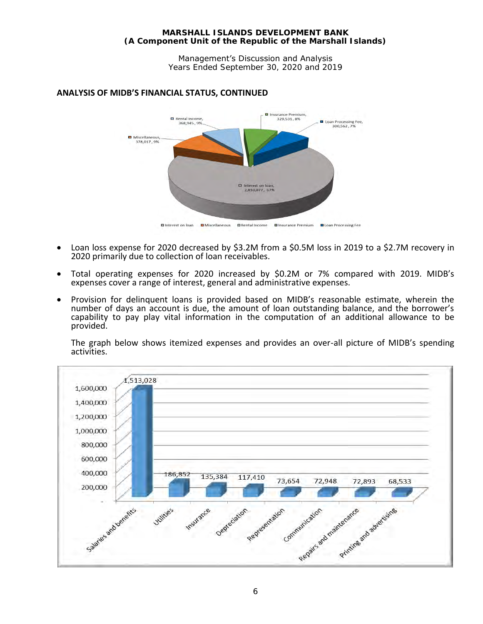Management's Discussion and Analysis Years Ended September 30, 2020 and 2019

# Insurance Premium,<br>329,531,8% Rental Income,<br>368,945, 9% Loan Processing Fee. 300.562.7%  $\blacksquare$  Miscellaneous<br>378,017, 9%  $\Box$  Interest on loan,<br>2,810,077, 67%

# **ANALYSIS OF MIDB'S FINANCIAL STATUS, CONTINUED**

□Interest on loan ■Miscellaneous ■Rental Income ■Insurance Premium ■Loan Processing Fee

- Loan loss expense for 2020 decreased by \$3.2M from a \$0.5M loss in 2019 to a \$2.7M recovery in 2020 primarily due to collection of loan receivables.
- Total operating expenses for 2020 increased by \$0.2M or 7% compared with 2019. MIDB's expenses cover a range of interest, general and administrative expenses.
- Provision for delinquent loans is provided based on MIDB's reasonable estimate, wherein the number of days an account is due, the amount of loan outstanding balance, and the borrower's capability to pay play vital information in the computation of an additional allowance to be provided.

The graph below shows itemized expenses and provides an over-all picture of MIDB's spending activities.

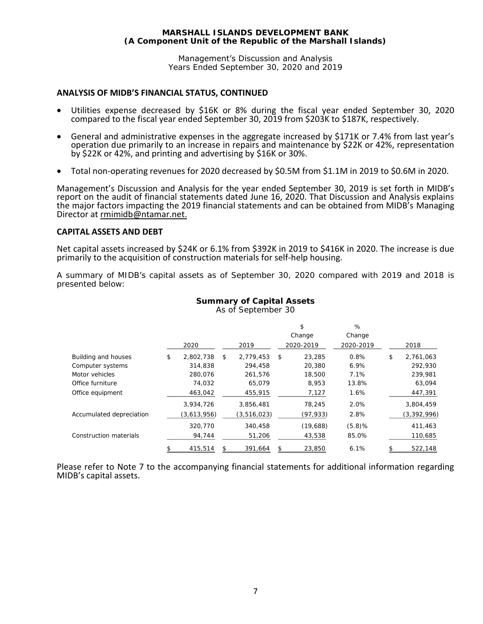Management's Discussion and Analysis Years Ended September 30, 2020 and 2019

# **ANALYSIS OF MIDB'S FINANCIAL STATUS, CONTINUED**

- Utilities expense decreased by \$16K or 8% during the fiscal year ended September 30, 2020 compared to the fiscal year ended September 30, 2019 from \$203K to \$187K, respectively.
- General and administrative expenses in the aggregate increased by \$171K or 7.4% from last year's operation due primarily to an increase in repairs and maintenance by \$22K or 42%, representation by \$22K or 42%, and printing and advertising by \$16K or 30%.
- Total non-operating revenues for 2020 decreased by \$0.5M from \$1.1M in 2019 to \$0.6M in 2020.

Management's Discussion and Analysis for the year ended September 30, 2019 is set forth in MIDB's report on the audit of financial statements dated June 16, 2020. That Discussion and Analysis explains the major factors impacting the 2019 financial statements and can be obtained from MIDB's Managing Director at [rmimidb@ntamar.net.](mailto:rmimidb@ntamar.net)

# **CAPITAL ASSETS AND DEBT**

Net capital assets increased by \$24K or 6.1% from \$392K in 2019 to \$416K in 2020. The increase is due primarily to the acquisition of construction materials for self-help housing.

A summary of MIDB's capital assets as of September 30, 2020 compared with 2019 and 2018 is presented below:

|                          | 2020            | 2019            | \$<br>Change<br>2020-2019 | %<br>Change<br>2020-2019 | 2018            |
|--------------------------|-----------------|-----------------|---------------------------|--------------------------|-----------------|
| Building and houses      | \$<br>2,802,738 | \$<br>2,779,453 | \$<br>23.285              | 0.8%                     | \$<br>2,761,063 |
| Computer systems         | 314,838         | 294.458         | 20,380                    | 6.9%                     | 292,930         |
| Motor vehicles           | 280.076         | 261,576         | 18.500                    | 7.1%                     | 239.981         |
| Office furniture         | 74,032          | 65,079          | 8,953                     | 13.8%                    | 63,094          |
| Office equipment         | 463,042         | 455,915         | 7,127                     | 1.6%                     | 447,391         |
|                          | 3,934,726       | 3,856,481       | 78.245                    | 2.0%                     | 3,804,459       |
| Accumulated depreciation | (3,613,956)     | (3, 516, 023)   | (97, 933)                 | 2.8%                     | (3, 392, 996)   |
|                          | 320,770         | 340.458         | (19,688)                  | (5.8)%                   | 411,463         |
| Construction materials   | 94,744          | 51,206          | 43,538                    | 85.0%                    | 110,685         |
|                          | \$<br>415,514   | \$<br>391.664   | \$<br>23,850              | 6.1%                     | \$<br>522,148   |

# **Summary of Capital Assets** As of September 30

Please refer to Note 7 to the accompanying financial statements for additional information regarding MIDB's capital assets.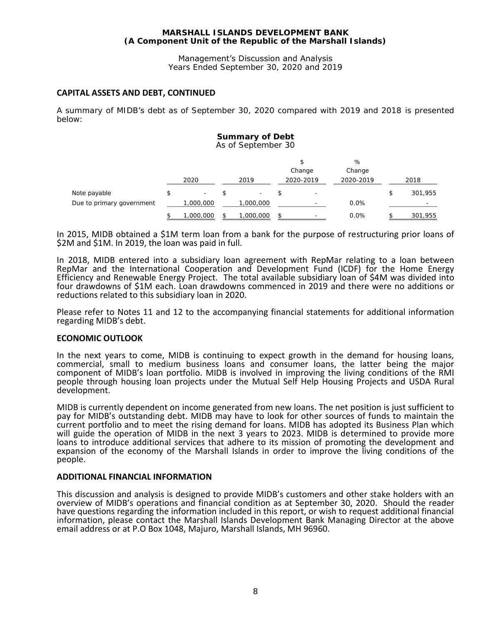# Management's Discussion and Analysis

Years Ended September 30, 2020 and 2019

# **CAPITAL ASSETS AND DEBT, CONTINUED**

A summary of MIDB's debt as of September 30, 2020 compared with 2019 and 2018 is presented below:

#### **Summary of Debt** As of September 30

|                           | 2020      | 2019      | Change<br>2020-2019 | %<br>Change<br>2020-2019 | 2018                     |
|---------------------------|-----------|-----------|---------------------|--------------------------|--------------------------|
| Note payable              | -         |           | -                   |                          | 301,955                  |
| Due to primary government | 1,000,000 | ,000,000, |                     | 0.0%                     | $\overline{\phantom{a}}$ |
|                           | 1,000,000 | ,000,000  |                     | $0.0\%$                  | 301,955                  |

In 2015, MIDB obtained a \$1M term loan from a bank for the purpose of restructuring prior loans of \$2M and \$1M. In 2019, the loan was paid in full.

In 2018, MIDB entered into a subsidiary loan agreement with RepMar relating to a loan between RepMar and the International Cooperation and Development Fund (ICDF) for the Home Energy Efficiency and Renewable Energy Project. The total available subsidiary loan of \$4M was divided into four drawdowns of \$1M each. Loan drawdowns commenced in 2019 and there were no additions or reductions related to this subsidiary loan in 2020.

Please refer to Notes 11 and 12 to the accompanying financial statements for additional information regarding MIDB's debt.

# **ECONOMIC OUTLOOK**

In the next years to come, MIDB is continuing to expect growth in the demand for housing loans, commercial, small to medium business loans and consumer loans, the latter being the major component of MIDB's loan portfolio. MIDB is involved in improving the living conditions of the RMI people through housing loan projects under the Mutual Self Help Housing Projects and USDA Rural development.

MIDB is currently dependent on income generated from new loans. The net position is just sufficient to pay for MIDB's outstanding debt. MIDB may have to look for other sources of funds to maintain the current portfolio and to meet the rising demand for loans. MIDB has adopted its Business Plan which will guide the operation of MIDB in the next 3 years to 2023. MIDB is determined to provide more loans to introduce additional services that adhere to its mission of promoting the development and expansion of the economy of the Marshall Islands in order to improve the living conditions of the people.

#### **ADDITIONAL FINANCIAL INFORMATION**

This discussion and analysis is designed to provide MIDB's customers and other stake holders with an overview of MIDB's operations and financial condition as at September 30, 2020. Should the reader have questions regarding the information included in this report, or wish to request additional financial information, please contact the Marshall Islands Development Bank Managing Director at the above email address or at P.O Box 1048, Majuro, Marshall Islands, MH 96960.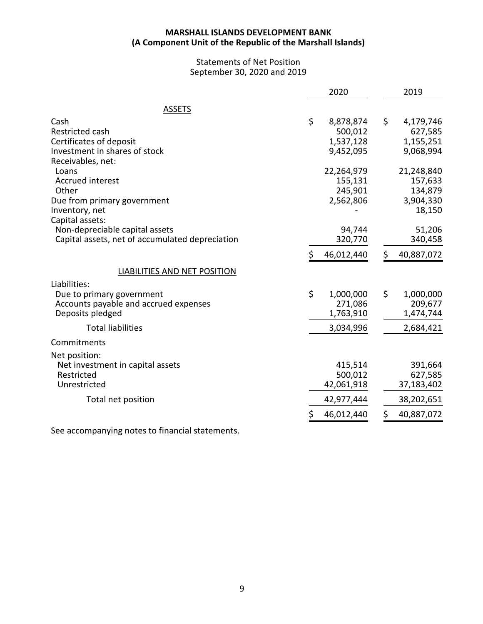# Statements of Net Position September 30, 2020 and 2019

|                                                                                                                                    | 2020                                      | 2019                                                                          |
|------------------------------------------------------------------------------------------------------------------------------------|-------------------------------------------|-------------------------------------------------------------------------------|
| <b>ASSETS</b>                                                                                                                      |                                           |                                                                               |
| Cash<br>Restricted cash<br>Certificates of deposit<br>Investment in shares of stock<br>Receivables, net:                           | \$<br>8,878,874<br>1,537,128<br>9,452,095 | \$<br>4,179,746<br>500,012<br>627,585<br>1,155,251<br>9,068,994               |
| Loans<br><b>Accrued interest</b><br>Other<br>Due from primary government<br>Inventory, net                                         | 22,264,979<br>2,562,806                   | 21,248,840<br>155,131<br>157,633<br>245,901<br>134,879<br>3,904,330<br>18,150 |
| Capital assets:<br>Non-depreciable capital assets<br>Capital assets, net of accumulated depreciation                               |                                           | 94,744<br>51,206<br>320,770<br>340,458                                        |
|                                                                                                                                    | 46,012,440                                | \$<br>40,887,072                                                              |
| LIABILITIES AND NET POSITION                                                                                                       |                                           |                                                                               |
| Liabilities:<br>Due to primary government<br>Accounts payable and accrued expenses<br>Deposits pledged<br><b>Total liabilities</b> | \$<br>1,000,000<br>1,763,910<br>3,034,996 | \$<br>1,000,000<br>271,086<br>209,677<br>1,474,744<br>2,684,421               |
| Commitments                                                                                                                        |                                           |                                                                               |
| Net position:<br>Net investment in capital assets<br>Restricted<br>Unrestricted<br>Total net position                              | 42,061,918<br>42,977,444                  | 391,664<br>415,514<br>500,012<br>627,585<br>37,183,402<br>38,202,651          |
|                                                                                                                                    | \$<br>46,012,440                          | \$<br>40,887,072                                                              |

See accompanying notes to financial statements.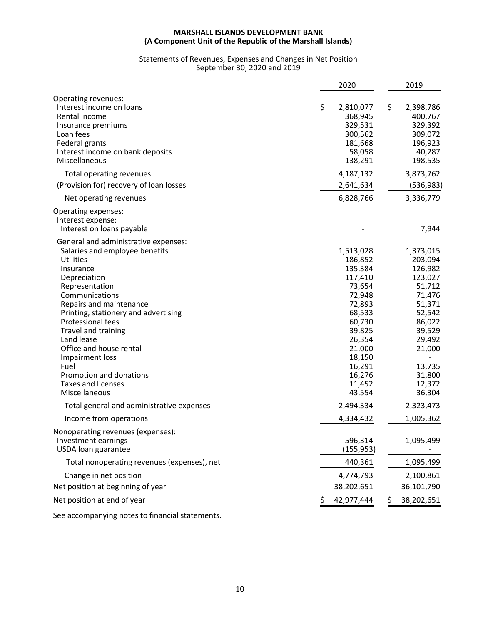#### Statements of Revenues, Expenses and Changes in Net Position September 30, 2020 and 2019

|                                                                                                                                                                                                                                                                                                                                                                                                                  | 2020                                                                                                                                                                         | 2019                                                                                                                                                               |
|------------------------------------------------------------------------------------------------------------------------------------------------------------------------------------------------------------------------------------------------------------------------------------------------------------------------------------------------------------------------------------------------------------------|------------------------------------------------------------------------------------------------------------------------------------------------------------------------------|--------------------------------------------------------------------------------------------------------------------------------------------------------------------|
| Operating revenues:<br>Interest income on loans<br>Rental income<br>Insurance premiums<br>Loan fees<br>Federal grants<br>Interest income on bank deposits<br>Miscellaneous                                                                                                                                                                                                                                       | \$<br>2,810,077<br>368,945<br>329,531<br>300,562<br>181,668<br>58,058<br>138,291                                                                                             | \$<br>2,398,786<br>400,767<br>329,392<br>309,072<br>196,923<br>40,287<br>198,535                                                                                   |
| Total operating revenues<br>(Provision for) recovery of loan losses                                                                                                                                                                                                                                                                                                                                              | 4,187,132<br>2,641,634                                                                                                                                                       | 3,873,762<br>(536,983)                                                                                                                                             |
| Net operating revenues                                                                                                                                                                                                                                                                                                                                                                                           | 6,828,766                                                                                                                                                                    | 3,336,779                                                                                                                                                          |
| Operating expenses:<br>Interest expense:<br>Interest on loans payable                                                                                                                                                                                                                                                                                                                                            |                                                                                                                                                                              | 7,944                                                                                                                                                              |
| General and administrative expenses:<br>Salaries and employee benefits<br>Utilities<br>Insurance<br>Depreciation<br>Representation<br>Communications<br>Repairs and maintenance<br>Printing, stationery and advertising<br>Professional fees<br>Travel and training<br>Land lease<br>Office and house rental<br>Impairment loss<br>Fuel<br>Promotion and donations<br><b>Taxes and licenses</b><br>Miscellaneous | 1,513,028<br>186,852<br>135,384<br>117,410<br>73,654<br>72,948<br>72,893<br>68,533<br>60,730<br>39,825<br>26,354<br>21,000<br>18,150<br>16,291<br>16,276<br>11,452<br>43,554 | 1,373,015<br>203,094<br>126,982<br>123,027<br>51,712<br>71,476<br>51,371<br>52,542<br>86,022<br>39,529<br>29,492<br>21,000<br>13,735<br>31,800<br>12,372<br>36,304 |
| Total general and administrative expenses                                                                                                                                                                                                                                                                                                                                                                        | 2,494,334                                                                                                                                                                    | 2,323,473                                                                                                                                                          |
| Income from operations                                                                                                                                                                                                                                                                                                                                                                                           | 4,334,432                                                                                                                                                                    | 1,005,362                                                                                                                                                          |
| Nonoperating revenues (expenses):<br>Investment earnings<br>USDA loan guarantee<br>Total nonoperating revenues (expenses), net                                                                                                                                                                                                                                                                                   | 596,314<br>(155, 953)<br>440,361                                                                                                                                             | 1,095,499<br>1,095,499                                                                                                                                             |
| Change in net position                                                                                                                                                                                                                                                                                                                                                                                           | 4,774,793                                                                                                                                                                    | 2,100,861                                                                                                                                                          |
| Net position at beginning of year                                                                                                                                                                                                                                                                                                                                                                                | 38,202,651                                                                                                                                                                   | 36,101,790                                                                                                                                                         |
| Net position at end of year                                                                                                                                                                                                                                                                                                                                                                                      | 42,977,444                                                                                                                                                                   | \$<br>38,202,651                                                                                                                                                   |

See accompanying notes to financial statements.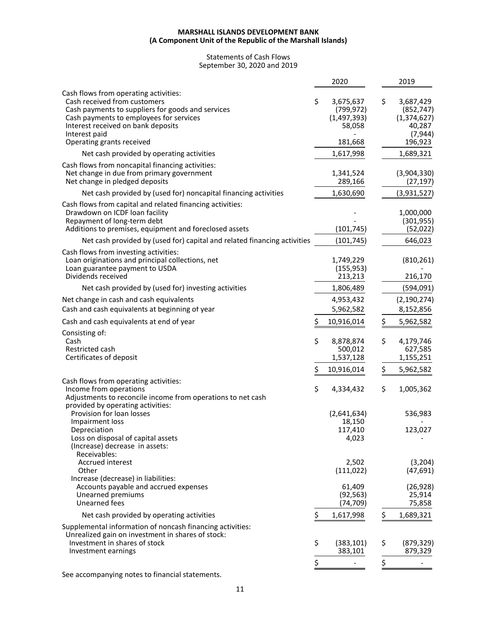#### Statements of Cash Flows September 30, 2020 and 2019

|                                                                                                                                                                                                                                                           |          | 2020                                                          |          | 2019                                                                      |
|-----------------------------------------------------------------------------------------------------------------------------------------------------------------------------------------------------------------------------------------------------------|----------|---------------------------------------------------------------|----------|---------------------------------------------------------------------------|
| Cash flows from operating activities:<br>Cash received from customers<br>Cash payments to suppliers for goods and services<br>Cash payments to employees for services<br>Interest received on bank deposits<br>Interest paid<br>Operating grants received | \$.      | 3,675,637<br>(799, 972)<br>(1, 497, 393)<br>58,058<br>181,668 | Ş        | 3,687,429<br>(852, 747)<br>(1, 374, 627)<br>40,287<br>(7, 944)<br>196,923 |
| Net cash provided by operating activities                                                                                                                                                                                                                 |          | 1,617,998                                                     |          | 1,689,321                                                                 |
| Cash flows from noncapital financing activities:<br>Net change in due from primary government<br>Net change in pledged deposits                                                                                                                           |          | 1,341,524<br>289,166                                          |          | (3,904,330)<br>(27, 197)                                                  |
| Net cash provided by (used for) noncapital financing activities                                                                                                                                                                                           |          | 1,630,690                                                     |          | (3,931,527)                                                               |
| Cash flows from capital and related financing activities:<br>Drawdown on ICDF loan facility<br>Repayment of long-term debt<br>Additions to premises, equipment and foreclosed assets                                                                      |          | (101, 745)                                                    |          | 1,000,000<br>(301, 955)<br>(52, 022)                                      |
| Net cash provided by (used for) capital and related financing activities                                                                                                                                                                                  |          | (101, 745)                                                    |          | 646,023                                                                   |
| Cash flows from investing activities:<br>Loan originations and principal collections, net<br>Loan guarantee payment to USDA<br>Dividends received                                                                                                         |          | 1,749,229<br>(155, 953)<br>213,213                            |          | (810, 261)<br>216,170                                                     |
| Net cash provided by (used for) investing activities                                                                                                                                                                                                      |          | 1,806,489                                                     |          | (594, 091)                                                                |
| Net change in cash and cash equivalents<br>Cash and cash equivalents at beginning of year                                                                                                                                                                 |          | 4,953,432<br>5,962,582                                        |          | (2, 190, 274)<br>8,152,856                                                |
| Cash and cash equivalents at end of year                                                                                                                                                                                                                  | \$       | 10,916,014                                                    | \$       | 5,962,582                                                                 |
| Consisting of:<br>Cash<br>Restricted cash<br>Certificates of deposit                                                                                                                                                                                      | \$<br>Ś. | 8,878,874<br>500,012<br>1,537,128<br>10,916,014               | \$<br>\$ | 4,179,746<br>627,585<br>1,155,251<br>5,962,582                            |
| Cash flows from operating activities:                                                                                                                                                                                                                     |          |                                                               |          |                                                                           |
| Income from operations<br>Adjustments to reconcile income from operations to net cash<br>provided by operating activities:                                                                                                                                | \$       | 4,334,432                                                     | \$       | 1,005,362                                                                 |
| Provision for loan losses<br>Impairment loss                                                                                                                                                                                                              |          | (2,641,634)<br>18,150                                         |          | 536,983                                                                   |
| Depreciation<br>Loss on disposal of capital assets<br>(Increase) decrease in assets:<br>Receivables:                                                                                                                                                      |          | 117,410<br>4,023                                              |          | 123,027                                                                   |
| Accrued interest<br>Other<br>Increase (decrease) in liabilities:                                                                                                                                                                                          |          | 2,502<br>(111, 022)                                           |          | (3,204)<br>(47, 691)                                                      |
| Accounts payable and accrued expenses<br>Unearned premiums<br>Unearned fees                                                                                                                                                                               |          | 61,409<br>(92, 563)<br>(74, 709)                              |          | (26, 928)<br>25,914<br>75,858                                             |
| Net cash provided by operating activities                                                                                                                                                                                                                 | \$       | 1,617,998                                                     | \$       | 1,689,321                                                                 |
| Supplemental information of noncash financing activities:<br>Unrealized gain on investment in shares of stock:                                                                                                                                            |          |                                                               |          |                                                                           |
| Investment in shares of stock<br>Investment earnings                                                                                                                                                                                                      | Ş        | (383, 101)<br>383,101                                         | Ş        | (879, 329)<br>879,329                                                     |
|                                                                                                                                                                                                                                                           | \$       |                                                               | \$       |                                                                           |

See accompanying notes to financial statements.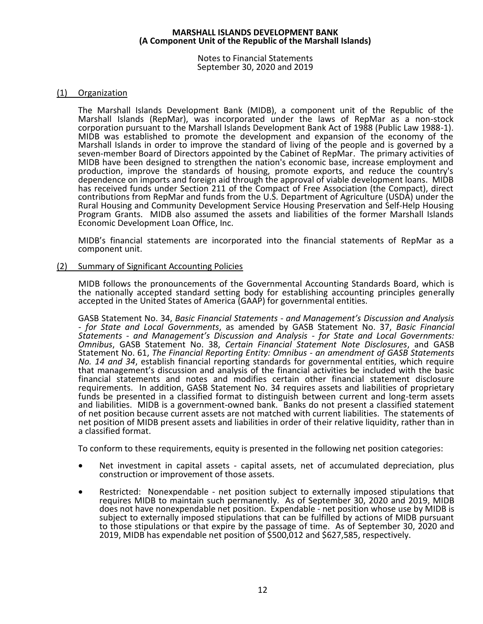Notes to Financial Statements September 30, 2020 and 2019

# (1) Organization

The Marshall Islands Development Bank (MIDB), a component unit of the Republic of the Marshall Islands (RepMar), was incorporated under the laws of RepMar as a non-stock corporation pursuant to the Marshall Islands Development Bank Act of 1988 (Public Law 1988-1). MIDB was established to promote the development and expansion of the economy of the Marshall Islands in order to improve the standard of living of the people and is governed by a seven-member Board of Directors appointed by the Cabinet of RepMar. The primary activities of MIDB have been designed to strengthen the nation's economic base, increase employment and production, improve the standards of housing, promote exports, and reduce the country's dependence on imports and foreign aid through the approval of viable development loans. MIDB has received funds under Section 211 of the Compact of Free Association (the Compact), direct contributions from RepMar and funds from the U.S. Department of Agriculture (USDA) under the Rural Housing and Community Development Service Housing Preservation and Self-Help Housing Program Grants. MIDB also assumed the assets and liabilities of the former Marshall Islands Economic Development Loan Office, Inc.

MIDB's financial statements are incorporated into the financial statements of RepMar as a component unit.

# (2) Summary of Significant Accounting Policies

MIDB follows the pronouncements of the Governmental Accounting Standards Board, which is the nationally accepted standard setting body for establishing accounting principles generally accepted in the United States of America (GAAP) for governmental entities.

GASB Statement No. 34, *Basic Financial Statements - and Management's Discussion and Analysis - for State and Local Governments*, as amended by GASB Statement No. 37, *Basic Financial Statements - and Management's Discussion and Analysis - for State and Local Governments: Omnibus*, GASB Statement No. 38, *Certain Financial Statement Note Disclosures*, and GASB Statement No. 61, *The Financial Reporting Entity: Omnibus - an amendment of GASB Statements No. 14 and 34*, establish financial reporting standards for governmental entities, which require that management's discussion and analysis of the financial activities be included with the basic financial statements and notes and modifies certain other financial statement disclosure requirements. In addition, GASB Statement No. 34 requires assets and liabilities of proprietary funds be presented in a classified format to distinguish between current and long-term assets and liabilities. MIDB is a government-owned bank. Banks do not present a classified statement of net position because current assets are not matched with current liabilities. The statements of net position of MIDB present assets and liabilities in order of their relative liquidity, rather than in a classified format.

To conform to these requirements, equity is presented in the following net position categories:

- Net investment in capital assets capital assets, net of accumulated depreciation, plus construction or improvement of those assets.
- Restricted: Nonexpendable net position subject to externally imposed stipulations that requires MIDB to maintain such permanently. As of September 30, 2020 and 2019, MIDB does not have nonexpendable net position. Expendable - net position whose use by MIDB is subject to externally imposed stipulations that can be fulfilled by actions of MIDB pursuant to those stipulations or that expire by the passage of time. As of September 30, 2020 and 2019, MIDB has expendable net position of \$500,012 and \$627,585, respectively.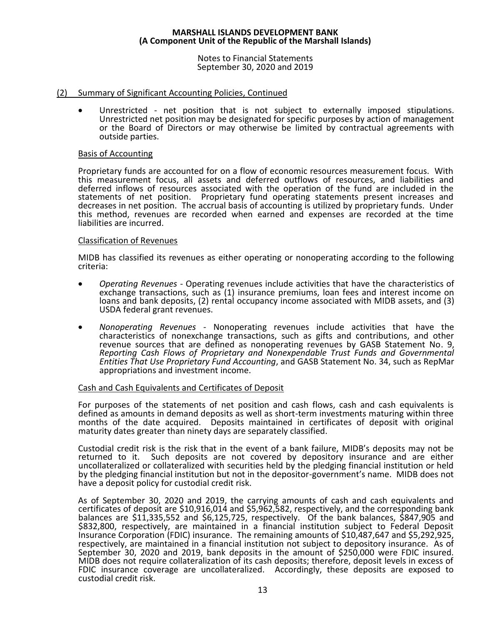Notes to Financial Statements September 30, 2020 and 2019

# (2) Summary of Significant Accounting Policies, Continued

• Unrestricted - net position that is not subject to externally imposed stipulations. Unrestricted net position may be designated for specific purposes by action of management or the Board of Directors or may otherwise be limited by contractual agreements with outside parties.

#### Basis of Accounting

Proprietary funds are accounted for on a flow of economic resources measurement focus. With this measurement focus, all assets and deferred outflows of resources, and liabilities and deferred inflows of resources associated with the operation of the fund are included in the statements of net position. Proprietary fund operating statements present increases and decreases in net position. The accrual basis of accounting is utilized by proprietary funds. Under this method, revenues are recorded when earned and expenses are recorded at the time liabilities are incurred.

#### Classification of Revenues

MIDB has classified its revenues as either operating or nonoperating according to the following criteria:

- *Operating Revenues* Operating revenues include activities that have the characteristics of exchange transactions, such as (1) insurance premiums, loan fees and interest income on loans and bank deposits, (2) rental occupancy income associated with MIDB assets, and (3) USDA federal grant revenues.
- *Nonoperating Revenues* Nonoperating revenues include activities that have the characteristics of nonexchange transactions, such as gifts and contributions, and other revenue sources that are defined as nonoperating revenues by GASB Statement No. 9, *Reporting Cash Flows of Proprietary and Nonexpendable Trust Funds and Governmental Entities That Use Proprietary Fund Accounting*, and GASB Statement No. 34, such as RepMar appropriations and investment income.

#### Cash and Cash Equivalents and Certificates of Deposit

For purposes of the statements of net position and cash flows, cash and cash equivalents is defined as amounts in demand deposits as well as short-term investments maturing within three months of the date acquired. Deposits maintained in certificates of deposit with original maturity dates greater than ninety days are separately classified.

Custodial credit risk is the risk that in the event of a bank failure, MIDB's deposits may not be returned to it. Such deposits are not covered by depository insurance and are either uncollateralized or collateralized with securities held by the pledging financial institution or held by the pledging financial institution but not in the depositor-government's name. MIDB does not have a deposit policy for custodial credit risk.

As of September 30, 2020 and 2019, the carrying amounts of cash and cash equivalents and certificates of deposit are \$10,916,014 and \$5,962,582, respectively, and the corresponding bank balances are \$11,335,552 and \$6,125,725, respectively. Of the bank balances, \$847,905 and \$832,800, respectively, are maintained in a financial institution subject to Federal Deposit Insurance Corporation (FDIC) insurance. The remaining amounts of \$10,487,647 and \$5,292,925, respectively, are maintained in a financial institution not subject to depository insurance. As of September 30, 2020 and 2019, bank deposits in the amount of \$250,000 were FDIC insured. MIDB does not require collateralization of its cash deposits; therefore, deposit levels in excess of FDIC insurance coverage are uncollateralized. Accordingly, these deposits are exposed to custodial credit risk.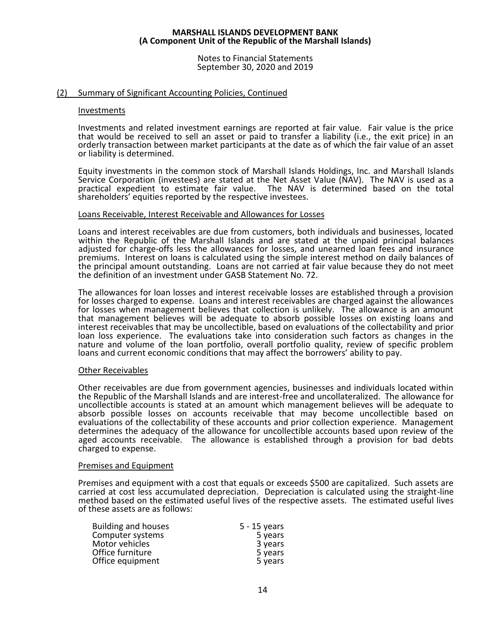Notes to Financial Statements September 30, 2020 and 2019

# (2) Summary of Significant Accounting Policies, Continued

#### Investments

Investments and related investment earnings are reported at fair value. Fair value is the price that would be received to sell an asset or paid to transfer a liability (i.e., the exit price) in an orderly transaction between market participants at the date as of which the fair value of an asset or liability is determined.

Equity investments in the common stock of Marshall Islands Holdings, Inc. and Marshall Islands Service Corporation (investees) are stated at the Net Asset Value (NAV). The NAV is used as a practical expedient to estimate fair value. The NAV is determined based on the total shareholders' equities reported by the respective investees.

#### Loans Receivable, Interest Receivable and Allowances for Losses

Loans and interest receivables are due from customers, both individuals and businesses, located within the Republic of the Marshall Islands and are stated at the unpaid principal balances adjusted for charge-offs less the allowances for losses, and unearned loan fees and insurance premiums. Interest on loans is calculated using the simple interest method on daily balances of the principal amount outstanding. Loans are not carried at fair value because they do not meet the definition of an investment under GASB Statement No. 72.

The allowances for loan losses and interest receivable losses are established through a provision for losses charged to expense. Loans and interest receivables are charged against the allowances for losses when management believes that collection is unlikely. The allowance is an amount that management believes will be adequate to absorb possible losses on existing loans and interest receivables that may be uncollectible, based on evaluations of the collectability and prior loan loss experience. The evaluations take into consideration such factors as changes in the nature and volume of the loan portfolio, overall portfolio quality, review of specific problem loans and current economic conditions that may affect the borrowers' ability to pay.

#### Other Receivables

Other receivables are due from government agencies, businesses and individuals located within the Republic of the Marshall Islands and are interest-free and uncollateralized. The allowance for uncollectible accounts is stated at an amount which management believes will be adequate to absorb possible losses on accounts receivable that may become uncollectible based on evaluations of the collectability of these accounts and prior collection experience. Management determines the adequacy of the allowance for uncollectible accounts based upon review of the aged accounts receivable. The allowance is established through a provision for bad debts charged to expense.

#### Premises and Equipment

Premises and equipment with a cost that equals or exceeds \$500 are capitalized. Such assets are carried at cost less accumulated depreciation. Depreciation is calculated using the straight-line method based on the estimated useful lives of the respective assets. The estimated useful lives of these assets are as follows:

| <b>Building and houses</b> | $5 - 15$ years |
|----------------------------|----------------|
| Computer systems           | 5 years        |
| Motor vehicles             | 3 years        |
| Office furniture           | 5 years        |
| Office equipment           | 5 years        |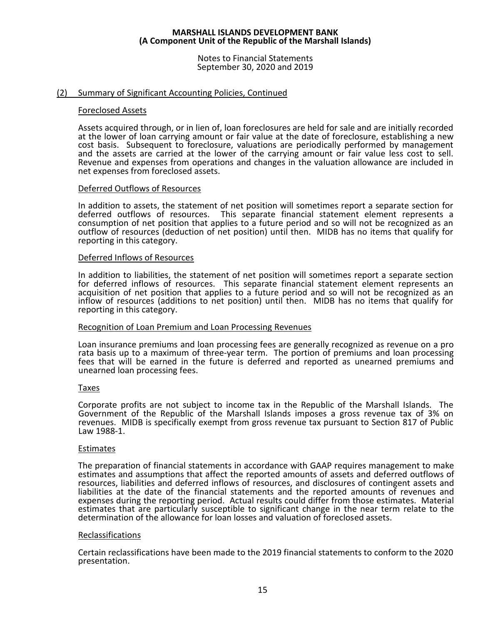Notes to Financial Statements September 30, 2020 and 2019

# (2) Summary of Significant Accounting Policies, Continued

#### Foreclosed Assets

Assets acquired through, or in lien of, loan foreclosures are held for sale and are initially recorded at the lower of loan carrying amount or fair value at the date of foreclosure, establishing a new cost basis. Subsequent to foreclosure, valuations are periodically performed by management and the assets are carried at the lower of the carrying amount or fair value less cost to sell. Revenue and expenses from operations and changes in the valuation allowance are included in net expenses from foreclosed assets.

#### Deferred Outflows of Resources

In addition to assets, the statement of net position will sometimes report a separate section for deferred outflows of resources. This separate financial statement element represents a consumption of net position that applies to a future period and so will not be recognized as an outflow of resources (deduction of net position) until then. MIDB has no items that qualify for reporting in this category.

#### Deferred Inflows of Resources

In addition to liabilities, the statement of net position will sometimes report a separate section for deferred inflows of resources. This separate financial statement element represents an acquisition of net position that applies to a future period and so will not be recognized as an inflow of resources (additions to net position) until then. MIDB has no items that qualify for reporting in this category.

#### Recognition of Loan Premium and Loan Processing Revenues

Loan insurance premiums and loan processing fees are generally recognized as revenue on a pro rata basis up to a maximum of three-year term. The portion of premiums and loan processing fees that will be earned in the future is deferred and reported as unearned premiums and unearned loan processing fees.

#### Taxes

Corporate profits are not subject to income tax in the Republic of the Marshall Islands. The Government of the Republic of the Marshall Islands imposes a gross revenue tax of 3% on revenues. MIDB is specifically exempt from gross revenue tax pursuant to Section 817 of Public Law 1988-1.

#### Estimates

The preparation of financial statements in accordance with GAAP requires management to make estimates and assumptions that affect the reported amounts of assets and deferred outflows of resources, liabilities and deferred inflows of resources, and disclosures of contingent assets and liabilities at the date of the financial statements and the reported amounts of revenues and expenses during the reporting period. Actual results could differ from those estimates. Material estimates that are particularly susceptible to significant change in the near term relate to the determination of the allowance for loan losses and valuation of foreclosed assets.

#### Reclassifications

Certain reclassifications have been made to the 2019 financial statements to conform to the 2020 presentation.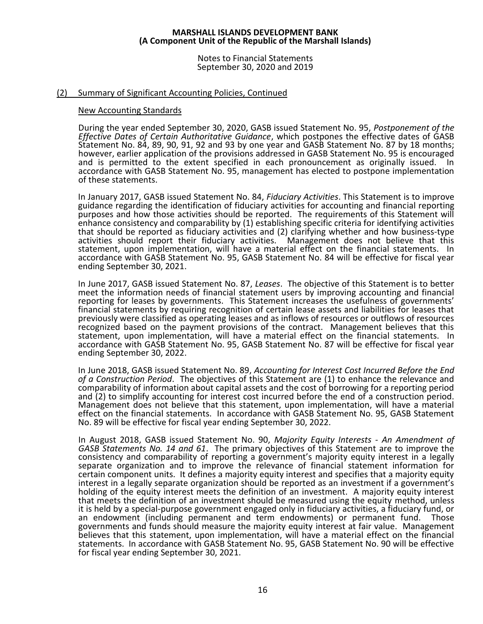Notes to Financial Statements September 30, 2020 and 2019

# (2) Summary of Significant Accounting Policies, Continued

#### New Accounting Standards

During the year ended September 30, 2020, GASB issued Statement No. 95, *Postponement of the Effective Dates of Certain Authoritative Guidance*, which postpones the effective dates of GASB Statement No. 84, 89, 90, 91, 92 and 93 by one year and GASB Statement No. 87 by 18 months; however, earlier application of the provisions addressed in GASB Statement No. 95 is encouraged and is permitted to the extent specified in each pronouncement as originally issued. In accordance with GASB Statement No. 95, management has elected to postpone implementation of these statements.

In January 2017, GASB issued Statement No. 84, *Fiduciary Activities*. This Statement is to improve guidance regarding the identification of fiduciary activities for accounting and financial reporting purposes and how those activities should be reported. The requirements of this Statement will enhance consistency and comparability by (1) establishing specific criteria for identifying activities that should be reported as fiduciary activities and (2) clarifying whether and how business-type activities should report their fiduciary activities. Management does not believe that this statement, upon implementation, will have a material effect on the financial statements. In accordance with GASB Statement No. 95, GASB Statement No. 84 will be effective for fiscal year ending September 30, 2021.

In June 2017, GASB issued Statement No. 87, *Leases*. The objective of this Statement is to better meet the information needs of financial statement users by improving accounting and financial reporting for leases by governments. This Statement increases the usefulness of governments' financial statements by requiring recognition of certain lease assets and liabilities for leases that previously were classified as operating leases and as inflows of resources or outflows of resources recognized based on the payment provisions of the contract. Management believes that this statement, upon implementation, will have a material effect on the financial statements. In accordance with GASB Statement No. 95, GASB Statement No. 87 will be effective for fiscal year ending September 30, 2022.

In June 2018, GASB issued Statement No. 89, *Accounting for Interest Cost Incurred Before the End of a Construction Period*. The objectives of this Statement are (1) to enhance the relevance and comparability of information about capital assets and the cost of borrowing for a reporting period and (2) to simplify accounting for interest cost incurred before the end of a construction period. Management does not believe that this statement, upon implementation, will have a material effect on the financial statements. In accordance with GASB Statement No. 95, GASB Statement No. 89 will be effective for fiscal year ending September 30, 2022.

In August 2018, GASB issued Statement No. 90, *Majority Equity Interests - An Amendment of GASB Statements No. 14 and 61*. The primary objectives of this Statement are to improve the consistency and comparability of reporting a government's majority equity interest in a legally separate organization and to improve the relevance of financial statement information for certain component units. It defines a majority equity interest and specifies that a majority equity interest in a legally separate organization should be reported as an investment if a government's holding of the equity interest meets the definition of an investment. A majority equity interest that meets the definition of an investment should be measured using the equity method, unless it is held by a special-purpose government engaged only in fiduciary activities, a fiduciary fund, or an endowment (including permanent and term endowments) or permanent fund. Those governments and funds should measure the majority equity interest at fair value. Management believes that this statement, upon implementation, will have a material effect on the financial statements. In accordance with GASB Statement No. 95, GASB Statement No. 90 will be effective for fiscal year ending September 30, 2021.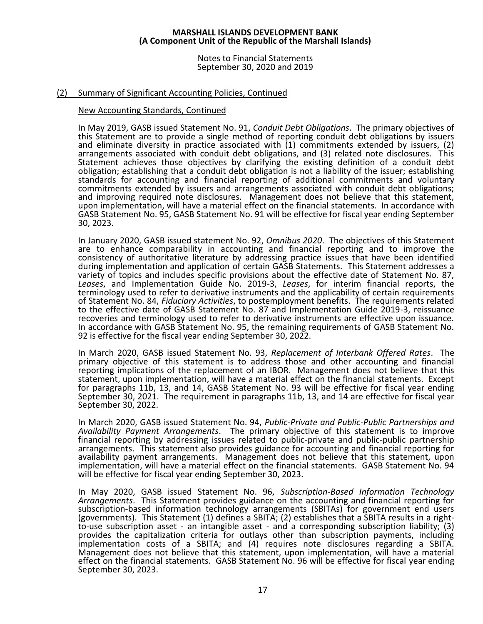Notes to Financial Statements September 30, 2020 and 2019

# (2) Summary of Significant Accounting Policies, Continued

#### New Accounting Standards, Continued

In May 2019, GASB issued Statement No. 91, *Conduit Debt Obligations*. The primary objectives of this Statement are to provide a single method of reporting conduit debt obligations by issuers and eliminate diversity in practice associated with (1) commitments extended by issuers, (2) arrangements associated with conduit debt obligations, and (3) related note disclosures. This Statement achieves those objectives by clarifying the existing definition of a conduit debt obligation; establishing that a conduit debt obligation is not a liability of the issuer; establishing standards for accounting and financial reporting of additional commitments and voluntary commitments extended by issuers and arrangements associated with conduit debt obligations; and improving required note disclosures. Management does not believe that this statement, upon implementation, will have a material effect on the financial statements. In accordance with GASB Statement No. 95, GASB Statement No. 91 will be effective for fiscal year ending September 30, 2023.

In January 2020, GASB issued statement No. 92, *Omnibus 2020*. The objectives of this Statement are to enhance comparability in accounting and financial reporting and to improve the consistency of authoritative literature by addressing practice issues that have been identified during implementation and application of certain GASB Statements. This Statement addresses a variety of topics and includes specific provisions about the effective date of Statement No. 87, *Leases*, and Implementation Guide No. 2019-3, *Leases*, for interim financial reports, the terminology used to refer to derivative instruments and the applicability of certain requirements of Statement No. 84, *Fiduciary Activities*, to postemployment benefits. The requirements related to the effective date of GASB Statement No. 87 and Implementation Guide 2019-3, reissuance recoveries and terminology used to refer to derivative instruments are effective upon issuance. In accordance with GASB Statement No. 95, the remaining requirements of GASB Statement No. 92 is effective for the fiscal year ending September 30, 2022.

In March 2020, GASB issued Statement No. 93, *Replacement of Interbank Offered Rates*. The primary objective of this statement is to address those and other accounting and financial reporting implications of the replacement of an IBOR. Management does not believe that this statement, upon implementation, will have a material effect on the financial statements. Except for paragraphs 11b, 13, and 14, GASB Statement No. 93 will be effective for fiscal year ending September 30, 2021. The requirement in paragraphs 11b, 13, and 14 are effective for fiscal year September 30, 2022.

In March 2020, GASB issued Statement No. 94, *Public-Private and Public-Public Partnerships and Availability Payment Arrangements*. The primary objective of this statement is to improve financial reporting by addressing issues related to public-private and public-public partnership arrangements. This statement also provides guidance for accounting and financial reporting for availability payment arrangements. Management does not believe that this statement, upon implementation, will have a material effect on the financial statements. GASB Statement No. 94 will be effective for fiscal year ending September 30, 2023.

In May 2020, GASB issued Statement No. 96, *Subscription-Based Information Technology Arrangements*. This Statement provides guidance on the accounting and financial reporting for subscription-based information technology arrangements (SBITAs) for government end users (governments). This Statement (1) defines a SBITA; (2) establishes that a SBITA results in a rightto-use subscription asset - an intangible asset - and a corresponding subscription liability; (3) provides the capitalization criteria for outlays other than subscription payments, including implementation costs of a SBITA; and (4) requires note disclosures regarding a SBITA. Management does not believe that this statement, upon implementation, will have a material effect on the financial statements. GASB Statement No. 96 will be effective for fiscal year ending September 30, 2023.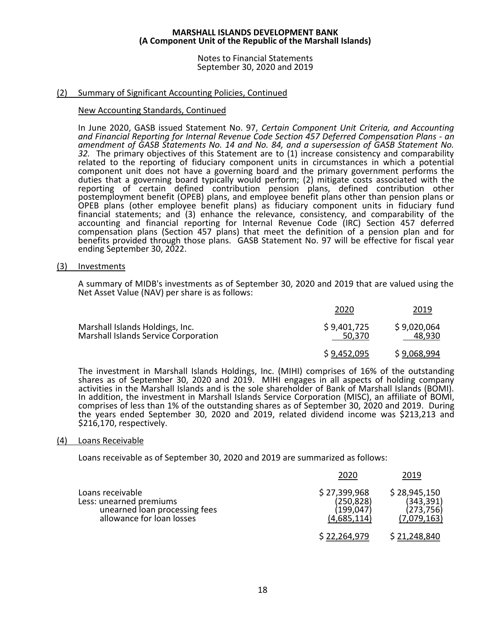Notes to Financial Statements September 30, 2020 and 2019

# (2) Summary of Significant Accounting Policies, Continued

# New Accounting Standards, Continued

In June 2020, GASB issued Statement No. 97, *Certain Component Unit Criteria, and Accounting and Financial Reporting for Internal Revenue Code Section 457 Deferred Compensation Plans - an amendment of GASB Statements No. 14 and No. 84, and a supersession of GASB Statement No. 32.* The primary objectives of this Statement are to (1) increase consistency and comparability related to the reporting of fiduciary component units in circumstances in which a potential component unit does not have a governing board and the primary government performs the duties that a governing board typically would perform; (2) mitigate costs associated with the reporting of certain defined contribution pension plans, defined contribution other postemployment benefit (OPEB) plans, and employee benefit plans other than pension plans or OPEB plans (other employee benefit plans) as fiduciary component units in fiduciary fund financial statements; and (3) enhance the relevance, consistency, and comparability of the accounting and financial reporting for Internal Revenue Code (IRC) Section 457 deferred compensation plans (Section 457 plans) that meet the definition of a pension plan and for benefits provided through those plans. GASB Statement No. 97 will be effective for fiscal year ending September 30, 2022.

# (3) Investments

A summary of MIDB's investments as of September 30, 2020 and 2019 that are valued using the Net Asset Value (NAV) per share is as follows:

|                                                                                | 2020                  | 2019                  |
|--------------------------------------------------------------------------------|-----------------------|-----------------------|
| Marshall Islands Holdings, Inc.<br><b>Marshall Islands Service Corporation</b> | \$9,401,725<br>50,370 | \$9,020,064<br>48,930 |
|                                                                                | \$9,452,095           | \$9,068,994           |

The investment in Marshall Islands Holdings, Inc. (MIHI) comprises of 16% of the outstanding shares as of September 30, 2020 and 2019. MIHI engages in all aspects of holding company activities in the Marshall Islands and is the sole shareholder of Bank of Marshall Islands (BOMI). In addition, the investment in Marshall Islands Service Corporation (MISC), an affiliate of BOMI, comprises of less than 1% of the outstanding shares as of September 30, 2020 and 2019. During the years ended September 30, 2020 and 2019, related dividend income was \$213,213 and \$216,170, respectively.

#### (4) Loans Receivable

Loans receivable as of September 30, 2020 and 2019 are summarized as follows:

|                                                                                                           | 2020                                                   | 2019                                                    |
|-----------------------------------------------------------------------------------------------------------|--------------------------------------------------------|---------------------------------------------------------|
| Loans receivable<br>Less: unearned premiums<br>unearned loan processing fees<br>allowance for loan losses | \$27,399,968<br>(250, 828)<br>(199,047)<br>(4,685,114) | \$28,945,150<br>(343, 391)<br>(273, 756)<br>(7,079,163) |
|                                                                                                           | \$22,264,979                                           | \$21,248,840                                            |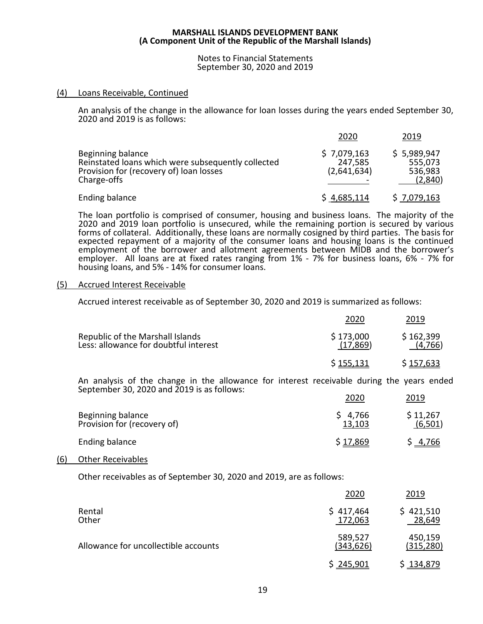Notes to Financial Statements September 30, 2020 and 2019

# (4) Loans Receivable, Continued

An analysis of the change in the allowance for loan losses during the years ended September 30, 2020 and 2019 is as follows:

|                                                                                                                                   | 2020                                  | 2019                                         |
|-----------------------------------------------------------------------------------------------------------------------------------|---------------------------------------|----------------------------------------------|
| Beginning balance<br>Reinstated loans which were subsequently collected<br>Provision for (recovery of) loan losses<br>Charge-offs | \$7,079,163<br>247,585<br>(2,641,634) | \$5,989,947<br>555,073<br>536,983<br>(2,840) |
| <b>Ending balance</b>                                                                                                             | \$4,685,114                           | \$7,079,163                                  |

The loan portfolio is comprised of consumer, housing and business loans. The majority of the 2020 and 2019 loan portfolio is unsecured, while the remaining portion is secured by various forms of collateral. Additionally, these loans are normally cosigned by third parties. The basis for expected repayment of a majority of the consumer loans and housing loans is the continued employment of the borrower and allotment agreements between MIDB and the borrower's employer. All loans are at fixed rates ranging from 1% - 7% for business loans, 6% - 7% for housing loans, and 5% - 14% for consumer loans.

# (5) Accrued Interest Receivable

Accrued interest receivable as of September 30, 2020 and 2019 is summarized as follows:

|                                                                           | 2020                   | 2019                 |
|---------------------------------------------------------------------------|------------------------|----------------------|
| Republic of the Marshall Islands<br>Less: allowance for doubtful interest | \$173,000<br>(17, 869) | \$162,399<br>(4,766) |
|                                                                           | \$155,131              | \$157,633            |

An analysis of the change in the allowance for interest receivable during the years ended September 30, 2020 and 2019 is as follows:

|                                                  | 2020              | <u> 2019</u>        |
|--------------------------------------------------|-------------------|---------------------|
| Beginning balance<br>Provision for (recovery of) | \$4,766<br>13,103 | \$11,267<br>(6,501) |
| Ending balance                                   | \$17,869          | \$ 4,766            |

#### (6) Other Receivables

Other receivables as of September 30, 2020 and 2019, are as follows:

|                                      | 2020                  | 2019                  |
|--------------------------------------|-----------------------|-----------------------|
| Rental<br>Other                      | \$417,464<br>172,063  | \$421,510<br>28,649   |
| Allowance for uncollectible accounts | 589,527<br>(343, 626) | 450,159<br>(315, 280) |
|                                      | \$245,901             | \$ <u>134,879</u>     |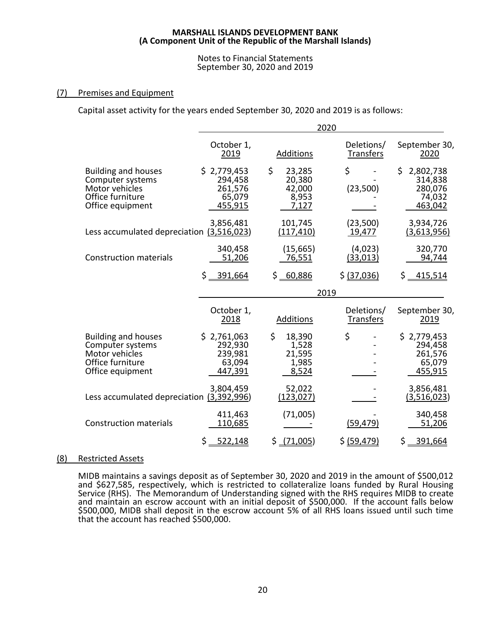#### Notes to Financial Statements September 30, 2020 and 2019

# (7) Premises and Equipment

Capital asset activity for the years ended September 30, 2020 and 2019 is as follows:

|                                                                                                          |                                                        | 2020                                               |                         |                                                            |  |  |  |  |
|----------------------------------------------------------------------------------------------------------|--------------------------------------------------------|----------------------------------------------------|-------------------------|------------------------------------------------------------|--|--|--|--|
|                                                                                                          | October 1,<br>2019                                     | Additions                                          | Deletions/<br>Transfers | September 30,<br>2020                                      |  |  |  |  |
| <b>Building and houses</b><br>Computer systems<br>Motor vehicles<br>Office furniture<br>Office equipment | \$2,779,453<br>294,458<br>261,576<br>65,079<br>455,915 | \$<br>23,285<br>20,380<br>42,000<br>8,953<br>7,127 | \$<br>(23,500)          | Ś.<br>2,802,738<br>314,838<br>280,076<br>74,032<br>463,042 |  |  |  |  |
| Less accumulated depreciation (3,516,023)                                                                | 3,856,481                                              | 101,745<br>(117, 410)                              | (23,500)<br>19,477      | 3,934,726<br>(3,613,956)                                   |  |  |  |  |
| <b>Construction materials</b>                                                                            | 340,458<br>51,206                                      | (15, 665)<br>76,551                                | (4,023)<br>(33,013)     | 320,770<br>94,744                                          |  |  |  |  |
|                                                                                                          | $$ -391,664$                                           | \$60,886                                           | \$ (37,036)             | \$ 415,514                                                 |  |  |  |  |
|                                                                                                          |                                                        | 2019                                               |                         |                                                            |  |  |  |  |
|                                                                                                          | October 1,<br>2018                                     | Additions                                          | Deletions/<br>Transfers | September 30,<br>2019                                      |  |  |  |  |
| <b>Building and houses</b><br>Computer systems<br>Motor vehicles<br>Office furniture<br>Office equipment | \$2,761,063<br>292,930<br>239,981<br>63,094<br>447,391 | \$<br>18,390<br>1,528<br>21,595<br>1,985<br>8,524  | \$                      | \$2,779,453<br>294,458<br>261,576<br>65,079<br>455,915     |  |  |  |  |
| Less accumulated depreciation (3,392,996)                                                                | 3,804,459                                              | 52,022<br>(123, 027)                               |                         | 3,856,481<br>(3,516,023)                                   |  |  |  |  |
| <b>Construction materials</b>                                                                            | 411,463<br>110,685                                     | (71,005)                                           | (59, 479)               | 340,458<br>51,206                                          |  |  |  |  |
|                                                                                                          | \$<br>522,148                                          | \$ (71,005)                                        | \$ (59, 479)            | \$.<br>391,664                                             |  |  |  |  |

#### (8) Restricted Assets

MIDB maintains a savings deposit as of September 30, 2020 and 2019 in the amount of \$500,012 and \$627,585, respectively, which is restricted to collateralize loans funded by Rural Housing Service (RHS). The Memorandum of Understanding signed with the RHS requires MIDB to create and maintain an escrow account with an initial deposit of \$500,000. If the account falls below \$500,000, MIDB shall deposit in the escrow account 5% of all RHS loans issued until such time that the account has reached \$500,000.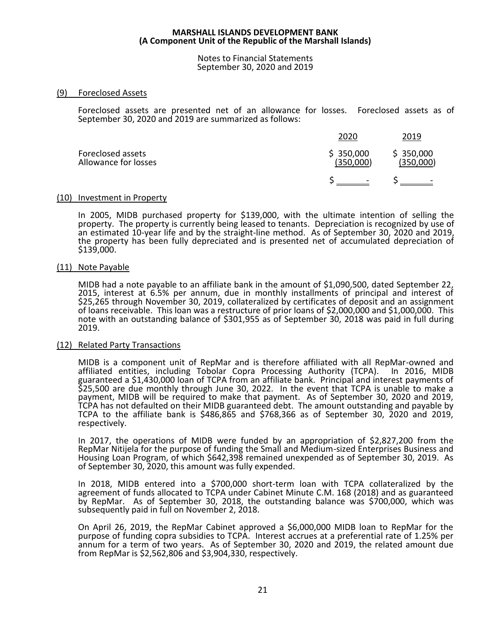Notes to Financial Statements September 30, 2020 and 2019

# (9) Foreclosed Assets

Foreclosed assets are presented net of an allowance for losses. Foreclosed assets as of September 30, 2020 and 2019 are summarized as follows:

|                                           | 2020                   | 2019                   |
|-------------------------------------------|------------------------|------------------------|
| Foreclosed assets<br>Allowance for losses | \$350,000<br>(350,000) | \$350,000<br>(350,000) |
|                                           | $S \t -$               |                        |

#### (10) Investment in Property

In 2005, MIDB purchased property for \$139,000, with the ultimate intention of selling the property. The property is currently being leased to tenants. Depreciation is recognized by use of an estimated 10-year life and by the straight-line method. As of September 30, 2020 and 2019, the property has been fully depreciated and is presented net of accumulated depreciation of \$139,000.

# (11) Note Payable

MIDB had a note payable to an affiliate bank in the amount of \$1,090,500, dated September 22, 2015, interest at 6.5% per annum, due in monthly installments of principal and interest of \$25,265 through November 30, 2019, collateralized by certificates of deposit and an assignment of loans receivable. This loan was a restructure of prior loans of \$2,000,000 and \$1,000,000. This note with an outstanding balance of \$301,955 as of September 30, 2018 was paid in full during 2019.

#### (12) Related Party Transactions

MIDB is a component unit of RepMar and is therefore affiliated with all RepMar-owned and affiliated entities, including Tobolar Copra Processing Authority (TCPA). In 2016, MIDB guaranteed a \$1,430,000 loan of TCPA from an affiliate bank. Principal and interest payments of \$25,500 are due monthly through June 30, 2022. In the event that TCPA is unable to make a payment, MIDB will be required to make that payment. As of September 30, 2020 and 2019, TCPA has not defaulted on their MIDB guaranteed debt. The amount outstanding and payable by TCPA to the affiliate bank is \$486,865 and \$768,366 as of September 30, 2020 and 2019, respectively.

In 2017, the operations of MIDB were funded by an appropriation of \$2,827,200 from the RepMar Nitijela for the purpose of funding the Small and Medium-sized Enterprises Business and Housing Loan Program, of which \$642,398 remained unexpended as of September 30, 2019. As of September 30, 2020, this amount was fully expended.

In 2018, MIDB entered into a \$700,000 short-term loan with TCPA collateralized by the agreement of funds allocated to TCPA under Cabinet Minute C.M. 168 (2018) and as guaranteed by RepMar. As of September 30, 2018, the outstanding balance was \$700,000, which was subsequently paid in full on November 2, 2018.

On April 26, 2019, the RepMar Cabinet approved a \$6,000,000 MIDB loan to RepMar for the purpose of funding copra subsidies to TCPA. Interest accrues at a preferential rate of 1.25% per annum for a term of two years. As of September 30, 2020 and 2019, the related amount due from RepMar is \$2,562,806 and \$3,904,330, respectively.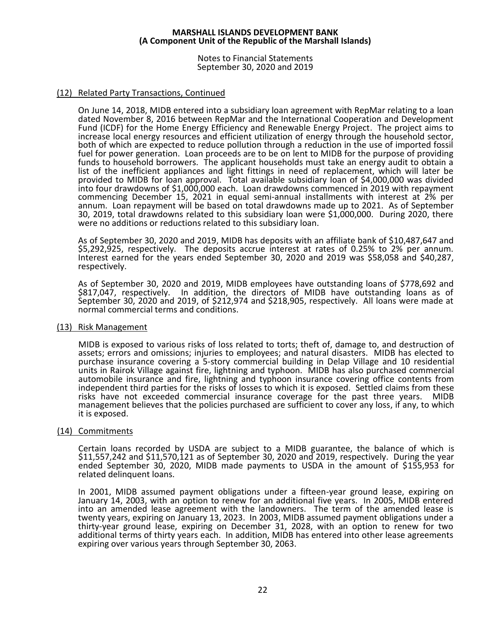Notes to Financial Statements September 30, 2020 and 2019

# (12) Related Party Transactions, Continued

On June 14, 2018, MIDB entered into a subsidiary loan agreement with RepMar relating to a loan dated November 8, 2016 between RepMar and the International Cooperation and Development Fund (ICDF) for the Home Energy Efficiency and Renewable Energy Project. The project aims to increase local energy resources and efficient utilization of energy through the household sector, both of which are expected to reduce pollution through a reduction in the use of imported fossil fuel for power generation. Loan proceeds are to be on lent to MIDB for the purpose of providing funds to household borrowers. The applicant households must take an energy audit to obtain a list of the inefficient appliances and light fittings in need of replacement, which will later be provided to MIDB for loan approval. Total available subsidiary loan of \$4,000,000 was divided into four drawdowns of \$1,000,000 each. Loan drawdowns commenced in 2019 with repayment commencing December 15, 2021 in equal semi-annual installments with interest at 2% per annum. Loan repayment will be based on total drawdowns made up to 2021. As of September 30, 2019, total drawdowns related to this subsidiary loan were \$1,000,000. During 2020, there were no additions or reductions related to this subsidiary loan.

As of September 30, 2020 and 2019, MIDB has deposits with an affiliate bank of \$10,487,647 and \$5,292,925, respectively. The deposits accrue interest at rates of 0.25% to 2% per annum. Interest earned for the years ended September 30, 2020 and 2019 was \$58,058 and \$40,287, respectively.

As of September 30, 2020 and 2019, MIDB employees have outstanding loans of \$778,692 and \$817,047, respectively. In addition, the directors of MIDB have outstanding loans as of September 30, 2020 and 2019, of \$212,974 and \$218,905, respectively. All loans were made at normal commercial terms and conditions.

# (13) Risk Management

MIDB is exposed to various risks of loss related to torts; theft of, damage to, and destruction of assets; errors and omissions; injuries to employees; and natural disasters. MIDB has elected to purchase insurance covering a 5-story commercial building in Delap Village and 10 residential units in Rairok Village against fire, lightning and typhoon. MIDB has also purchased commercial automobile insurance and fire, lightning and typhoon insurance covering office contents from independent third parties for the risks of losses to which it is exposed. Settled claims from these risks have not exceeded commercial insurance coverage for the past three vears. MIDB risks have not exceeded commercial insurance coverage for the past three years. management believes that the policies purchased are sufficient to cover any loss, if any, to which it is exposed.

# (14) Commitments

Certain loans recorded by USDA are subject to a MIDB guarantee, the balance of which is \$11,557,242 and \$11,570,121 as of September 30, 2020 and 2019, respectively. During the year ended September 30, 2020, MIDB made payments to USDA in the amount of \$155,953 for related delinquent loans.

In 2001, MIDB assumed payment obligations under a fifteen-year ground lease, expiring on January 14, 2003, with an option to renew for an additional five years. In 2005, MIDB entered into an amended lease agreement with the landowners. The term of the amended lease is twenty years, expiring on January 13, 2023. In 2003, MIDB assumed payment obligations under a thirty-year ground lease, expiring on December 31, 2028, with an option to renew for two additional terms of thirty years each. In addition, MIDB has entered into other lease agreements expiring over various years through September 30, 2063.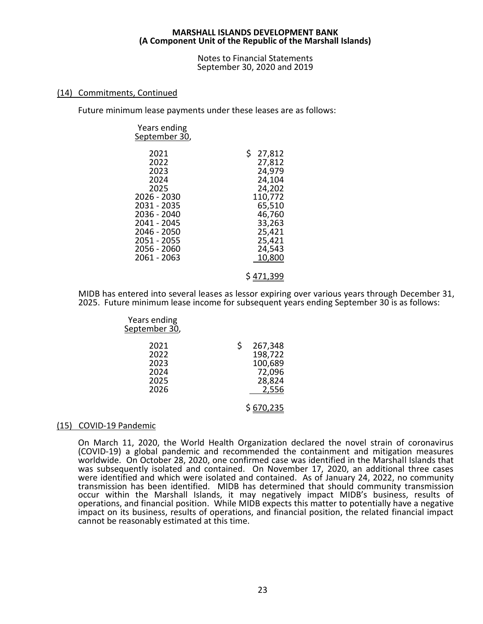Notes to Financial Statements September 30, 2020 and 2019

# (14) Commitments, Continued

Future minimum lease payments under these leases are as follows:

| Years ending<br>September 30, |          |
|-------------------------------|----------|
| 2021                          | \$27,812 |
| 2022                          | 27,812   |
| 2023                          | 24,979   |
| 2024                          | 24,104   |
| 2025                          | 24,202   |
| 2026 - 2030                   | 110,772  |
| 2031 - 2035                   | 65,510   |
| 2036 - 2040                   | 46,760   |
| 2041 - 2045                   | 33,263   |
| 2046 - 2050                   | 25,421   |
| 2051 - 2055                   | 25,421   |
| 2056 - 2060                   | 24,543   |
| 2061 - 2063                   | 10,800   |

\$471,399

MIDB has entered into several leases as lessor expiring over various years through December 31, 2025. Future minimum lease income for subsequent years ending September 30 is as follows:

| Years ending<br>September 30,                |                                                                 |
|----------------------------------------------|-----------------------------------------------------------------|
| 2021<br>2022<br>2023<br>2024<br>2025<br>2026 | Ś<br>267,348<br>198,722<br>100,689<br>72,096<br>28,824<br>2,556 |
|                                              |                                                                 |

# (15) COVID-19 Pandemic

On March 11, 2020, the World Health Organization declared the novel strain of coronavirus (COVID-19) a global pandemic and recommended the containment and mitigation measures worldwide. On October 28, 2020, one confirmed case was identified in the Marshall Islands that was subsequently isolated and contained. On November 17, 2020, an additional three cases were identified and which were isolated and contained. As of January 24, 2022, no community transmission has been identified. MIDB has determined that should community transmission occur within the Marshall Islands, it may negatively impact MIDB's business, results of operations, and financial position. While MIDB expects this matter to potentially have a negative impact on its business, results of operations, and financial position, the related financial impact cannot be reasonably estimated at this time.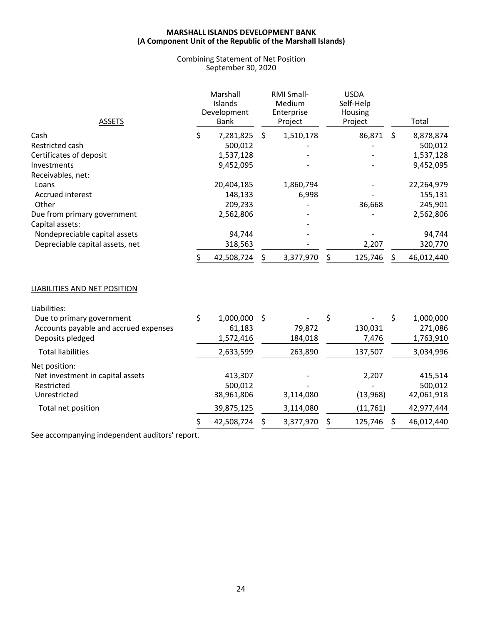# Combining Statement of Net Position September 30, 2020

| <b>ASSETS</b>                         | Marshall<br>Islands<br>Development<br><b>Bank</b> | RMI Small-<br>Medium<br>Enterprise<br>Project | <b>USDA</b><br>Self-Help<br>Housing<br>Project |    | Total      |
|---------------------------------------|---------------------------------------------------|-----------------------------------------------|------------------------------------------------|----|------------|
| Cash                                  | \$<br>7,281,825                                   | \$<br>1,510,178                               | 86,871                                         | \$ | 8,878,874  |
| Restricted cash                       | 500,012                                           |                                               |                                                |    | 500,012    |
| Certificates of deposit               | 1,537,128                                         |                                               |                                                |    | 1,537,128  |
| Investments                           | 9,452,095                                         |                                               |                                                |    | 9,452,095  |
| Receivables, net:                     |                                                   |                                               |                                                |    |            |
| Loans                                 | 20,404,185                                        | 1,860,794                                     |                                                |    | 22,264,979 |
| <b>Accrued interest</b>               | 148,133                                           | 6,998                                         |                                                |    | 155,131    |
| Other                                 | 209,233                                           |                                               | 36,668                                         |    | 245,901    |
| Due from primary government           | 2,562,806                                         |                                               |                                                |    | 2,562,806  |
| Capital assets:                       |                                                   |                                               |                                                |    |            |
| Nondepreciable capital assets         | 94,744                                            |                                               |                                                |    | 94,744     |
| Depreciable capital assets, net       | 318,563                                           |                                               | 2,207                                          |    | 320,770    |
|                                       | \$<br>42,508,724                                  | \$<br>3,377,970                               | \$<br>125,746                                  | Ś  | 46,012,440 |
| LIABILITIES AND NET POSITION          |                                                   |                                               |                                                |    |            |
| Liabilities:                          |                                                   |                                               |                                                |    |            |
| Due to primary government             | \$<br>1,000,000                                   | \$                                            | \$                                             | \$ | 1,000,000  |
| Accounts payable and accrued expenses | 61,183                                            | 79,872                                        | 130,031                                        |    | 271,086    |
| Deposits pledged                      | 1,572,416                                         | 184,018                                       | 7,476                                          |    | 1,763,910  |
| <b>Total liabilities</b>              | 2,633,599                                         | 263,890                                       | 137,507                                        |    | 3,034,996  |
| Net position:                         |                                                   |                                               |                                                |    |            |
| Net investment in capital assets      | 413,307                                           |                                               | 2,207                                          |    | 415,514    |
| Restricted                            | 500,012                                           |                                               |                                                |    | 500,012    |
| Unrestricted                          | 38,961,806                                        | 3,114,080                                     | (13,968)                                       |    | 42,061,918 |
| Total net position                    | 39,875,125                                        | 3,114,080                                     | (11, 761)                                      |    | 42,977,444 |
|                                       | \$<br>42,508,724                                  | \$<br>3,377,970                               | \$<br>125,746                                  | \$ | 46,012,440 |
|                                       |                                                   |                                               |                                                |    |            |

See accompanying independent auditors' report.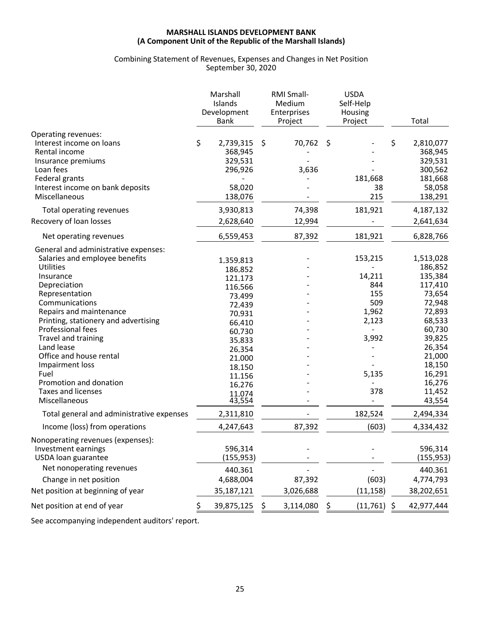# Combining Statement of Revenues, Expenses and Changes in Net Position September 30, 2020

|                                                                                                                                                                                                                                                                                                                                                                                                                        | Marshall<br>Islands<br>Development<br><b>Bank</b>                                                                                                                            | RMI Small-<br>Medium<br>Enterprises<br>Project |     | <b>USDA</b><br>Self-Help<br>Housing<br>Project                                    | Total                                                                                                                                                                        |
|------------------------------------------------------------------------------------------------------------------------------------------------------------------------------------------------------------------------------------------------------------------------------------------------------------------------------------------------------------------------------------------------------------------------|------------------------------------------------------------------------------------------------------------------------------------------------------------------------------|------------------------------------------------|-----|-----------------------------------------------------------------------------------|------------------------------------------------------------------------------------------------------------------------------------------------------------------------------|
| Operating revenues:<br>Interest income on loans<br>Rental income<br>Insurance premiums<br>Loan fees<br>Federal grants<br>Interest income on bank deposits                                                                                                                                                                                                                                                              | \$<br>2,739,315<br>368,945<br>329,531<br>296,926<br>58,020                                                                                                                   | \$<br>70,762<br>3,636                          | -\$ | 181,668<br>38                                                                     | \$<br>2,810,077<br>368,945<br>329,531<br>300,562<br>181,668<br>58,058                                                                                                        |
| Miscellaneous<br>Total operating revenues<br>Recovery of loan losses                                                                                                                                                                                                                                                                                                                                                   | 138,076<br>3,930,813<br>2,628,640                                                                                                                                            | 74,398<br>12,994                               |     | 215<br>181,921                                                                    | 138,291<br>4,187,132<br>2,641,634                                                                                                                                            |
| Net operating revenues                                                                                                                                                                                                                                                                                                                                                                                                 | 6,559,453                                                                                                                                                                    | 87,392                                         |     | 181,921                                                                           | 6,828,766                                                                                                                                                                    |
| General and administrative expenses:<br>Salaries and employee benefits<br><b>Utilities</b><br>Insurance<br>Depreciation<br>Representation<br>Communications<br>Repairs and maintenance<br>Printing, stationery and advertising<br>Professional fees<br>Travel and training<br>Land lease<br>Office and house rental<br>Impairment loss<br>Fuel<br>Promotion and donation<br><b>Taxes and licenses</b><br>Miscellaneous | 1,359,813<br>186.852<br>121,173<br>116.566<br>73.499<br>72.439<br>70.931<br>66.410<br>60,730<br>35,833<br>26,354<br>21,000<br>18,150<br>11.156<br>16.276<br>11.074<br>43,554 |                                                |     | 153,215<br>14,211<br>844<br>155<br>509<br>1,962<br>2,123<br>3,992<br>5,135<br>378 | 1,513,028<br>186,852<br>135,384<br>117,410<br>73,654<br>72,948<br>72,893<br>68,533<br>60,730<br>39,825<br>26,354<br>21,000<br>18,150<br>16,291<br>16,276<br>11,452<br>43,554 |
| Total general and administrative expenses                                                                                                                                                                                                                                                                                                                                                                              | 2,311,810                                                                                                                                                                    |                                                |     | 182,524                                                                           | 2,494,334                                                                                                                                                                    |
| Income (loss) from operations<br>Nonoperating revenues (expenses):<br>Investment earnings<br>USDA loan guarantee<br>Net nonoperating revenues<br>Change in net position                                                                                                                                                                                                                                                | 4,247,643<br>596,314<br>(155,953)<br>440,361<br>4,688,004                                                                                                                    | 87,392<br>87,392                               |     | (603)<br>(603)                                                                    | 4,334,432<br>596,314<br>(155, 953)<br>440.361<br>4,774,793                                                                                                                   |
| Net position at beginning of year                                                                                                                                                                                                                                                                                                                                                                                      | 35,187,121                                                                                                                                                                   | 3,026,688                                      |     | (11, 158)                                                                         | 38,202,651                                                                                                                                                                   |
| Net position at end of year                                                                                                                                                                                                                                                                                                                                                                                            | 39,875,125                                                                                                                                                                   | \$<br>3,114,080                                | \$  | (11, 761)                                                                         | \$<br>42,977,444                                                                                                                                                             |

See accompanying independent auditors' report.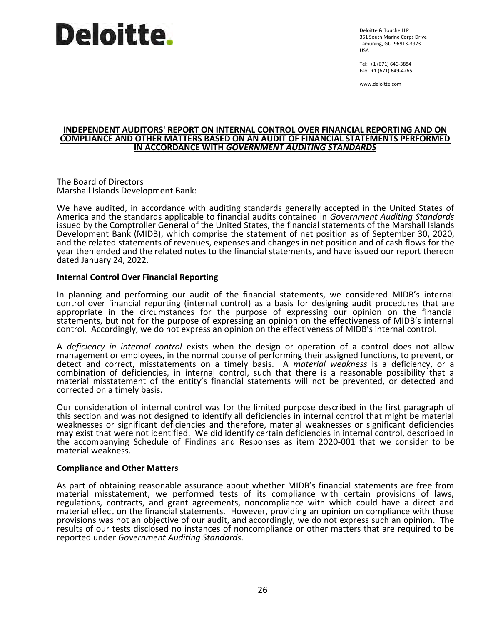Deloitte & Touche LLP 361 South Marine Corps Drive Tamuning, GU 96913-3973 USA

Tel: +1 (671) 646-3884 Fax: +1 (671) 649-4265

www.deloitte.com

#### **INDEPENDENT AUDITORS' REPORT ON INTERNAL CONTROL OVER FINANCIAL REPORTING AND ON COMPLIANCE AND OTHER MATTERS BASED ON AN AUDIT OF FINANCIAL STATEMENTS PERFORMED IN ACCORDANCE WITH** *GOVERNMENT AUDITING STANDARDS*

The Board of Directors Marshall Islands Development Bank:

We have audited, in accordance with auditing standards generally accepted in the United States of America and the standards applicable to financial audits contained in *Government Auditing Standards* issued by the Comptroller General of the United States, the financial statements of the Marshall Islands Development Bank (MIDB), which comprise the statement of net position as of September 30, 2020, and the related statements of revenues, expenses and changes in net position and of cash flows for the year then ended and the related notes to the financial statements, and have issued our report thereon dated January 24, 2022.

# **Internal Control Over Financial Reporting**

In planning and performing our audit of the financial statements, we considered MIDB's internal control over financial reporting (internal control) as a basis for designing audit procedures that are appropriate in the circumstances for the purpose of expressing our opinion on the financial statements, but not for the purpose of expressing an opinion on the effectiveness of MIDB's internal control. Accordingly, we do not express an opinion on the effectiveness of MIDB's internal control.

A *deficiency in internal control* exists when the design or operation of a control does not allow management or employees, in the normal course of performing their assigned functions, to prevent, or detect and correct, misstatements on a timely basis. A *material weakness* is a deficiency, or a combination of deficiencies, in internal control, such that there is a reasonable possibility that a material misstatement of the entity's financial statements will not be prevented, or detected and corrected on a timely basis.

Our consideration of internal control was for the limited purpose described in the first paragraph of this section and was not designed to identify all deficiencies in internal control that might be material weaknesses or significant deficiencies and therefore, material weaknesses or significant deficiencies may exist that were not identified. We did identify certain deficiencies in internal control, described in the accompanying Schedule of Findings and Responses as item 2020-001 that we consider to be material weakness.

#### **Compliance and Other Matters**

As part of obtaining reasonable assurance about whether MIDB's financial statements are free from material misstatement, we performed tests of its compliance with certain provisions of laws, regulations, contracts, and grant agreements, noncompliance with which could have a direct and material effect on the financial statements. However, providing an opinion on compliance with those provisions was not an objective of our audit, and accordingly, we do not express such an opinion. The results of our tests disclosed no instances of noncompliance or other matters that are required to be reported under *Government Auditing Standards*.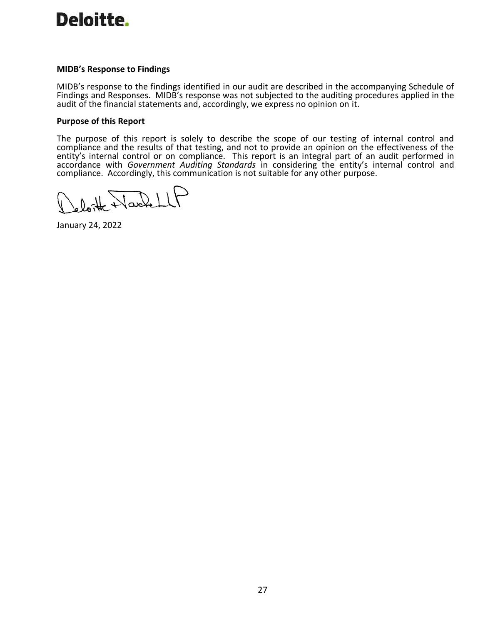# **MIDB's Response to Findings**

MIDB's response to the findings identified in our audit are described in the accompanying Schedule of Findings and Responses. MIDB's response was not subjected to the auditing procedures applied in the audit of the financial statements and, accordingly, we express no opinion on it.

# **Purpose of this Report**

The purpose of this report is solely to describe the scope of our testing of internal control and compliance and the results of that testing, and not to provide an opinion on the effectiveness of the entity's internal control or on compliance. This report is an integral part of an audit performed in accordance with *Government Auditing Standards* in considering the entity's internal control and compliance. Accordingly, this communication is not suitable for any other purpose.

Varket

January 24, 2022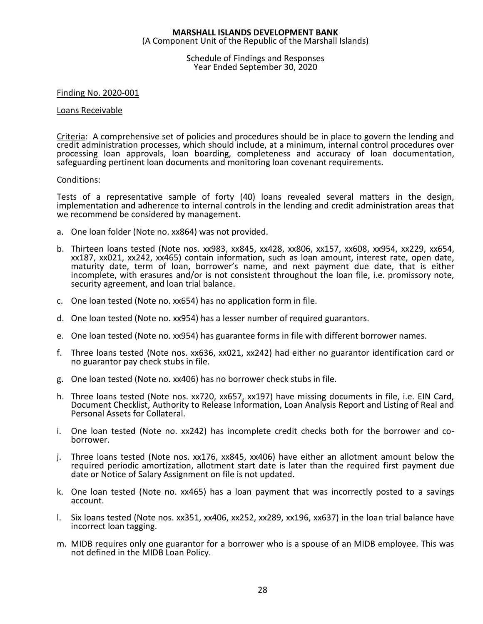Schedule of Findings and Responses Year Ended September 30, 2020

#### Finding No. 2020-001

#### Loans Receivable

Criteria: A comprehensive set of policies and procedures should be in place to govern the lending and credit administration processes, which should include, at a minimum, internal control procedures over processing loan approvals, loan boarding, completeness and accuracy of loan documentation, safeguarding pertinent loan documents and monitoring loan covenant requirements.

#### Conditions:

Tests of a representative sample of forty (40) loans revealed several matters in the design, implementation and adherence to internal controls in the lending and credit administration areas that we recommend be considered by management.

- a. One loan folder (Note no. xx864) was not provided.
- b. Thirteen loans tested (Note nos. xx983, xx845, xx428, xx806, xx157, xx608, xx954, xx229, xx654, xx187, xx021, xx242, xx465) contain information, such as loan amount, interest rate, open date, maturity date, term of loan, borrower's name, and next payment due date, that is either incomplete, with erasures and/or is not consistent throughout the loan file, i.e. promissory note, security agreement, and loan trial balance.
- c. One loan tested (Note no. xx654) has no application form in file.
- d. One loan tested (Note no. xx954) has a lesser number of required guarantors.
- e. One loan tested (Note no. xx954) has guarantee forms in file with different borrower names.
- f. Three loans tested (Note nos. xx636, xx021, xx242) had either no guarantor identification card or no guarantor pay check stubs in file.
- g. One loan tested (Note no. xx406) has no borrower check stubs in file.
- h. Three loans tested (Note nos. xx720, xx657, xx197) have missing documents in file, i.e. EIN Card, Document Checklist, Authority to Release Information, Loan Analysis Report and Listing of Real and Personal Assets for Collateral.
- i. One loan tested (Note no. xx242) has incomplete credit checks both for the borrower and coborrower.
- j. Three loans tested (Note nos. xx176, xx845, xx406) have either an allotment amount below the required periodic amortization, allotment start date is later than the required first payment due date or Notice of Salary Assignment on file is not updated.
- k. One loan tested (Note no. xx465) has a loan payment that was incorrectly posted to a savings account.
- l. Six loans tested (Note nos. xx351, xx406, xx252, xx289, xx196, xx637) in the loan trial balance have incorrect loan tagging.
- m. MIDB requires only one guarantor for a borrower who is a spouse of an MIDB employee. This was not defined in the MIDB Loan Policy.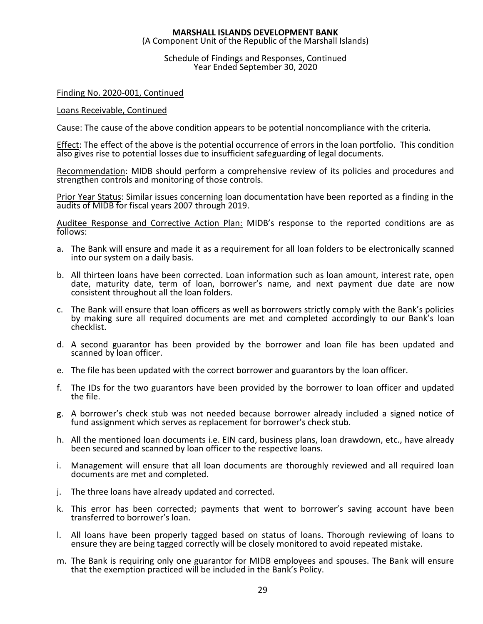#### Schedule of Findings and Responses, Continued Year Ended September 30, 2020

# Finding No. 2020-001, Continued

#### Loans Receivable, Continued

Cause: The cause of the above condition appears to be potential noncompliance with the criteria.

Effect: The effect of the above is the potential occurrence of errors in the loan portfolio. This condition also gives rise to potential losses due to insufficient safeguarding of legal documents.

Recommendation: MIDB should perform a comprehensive review of its policies and procedures and strengthen controls and monitoring of those controls.

Prior Year Status: Similar issues concerning loan documentation have been reported as a finding in the audits of MIDB for fiscal years 2007 through 2019.

Auditee Response and Corrective Action Plan: MIDB's response to the reported conditions are as follows:

- a. The Bank will ensure and made it as a requirement for all loan folders to be electronically scanned into our system on a daily basis.
- b. All thirteen loans have been corrected. Loan information such as loan amount, interest rate, open date, maturity date, term of loan, borrower's name, and next payment due date are now consistent throughout all the loan folders.
- c. The Bank will ensure that loan officers as well as borrowers strictly comply with the Bank's policies by making sure all required documents are met and completed accordingly to our Bank's loan checklist.
- d. A second guarantor has been provided by the borrower and loan file has been updated and scanned by loan officer.
- e. The file has been updated with the correct borrower and guarantors by the loan officer.
- f. The IDs for the two guarantors have been provided by the borrower to loan officer and updated the file.
- g. A borrower's check stub was not needed because borrower already included a signed notice of fund assignment which serves as replacement for borrower's check stub.
- h. All the mentioned loan documents i.e. EIN card, business plans, loan drawdown, etc., have already been secured and scanned by loan officer to the respective loans.
- i. Management will ensure that all loan documents are thoroughly reviewed and all required loan documents are met and completed.
- j. The three loans have already updated and corrected.
- k. This error has been corrected; payments that went to borrower's saving account have been transferred to borrower's loan.
- l. All loans have been properly tagged based on status of loans. Thorough reviewing of loans to ensure they are being tagged correctly will be closely monitored to avoid repeated mistake.
- m. The Bank is requiring only one guarantor for MIDB employees and spouses. The Bank will ensure that the exemption practiced will be included in the Bank's Policy.